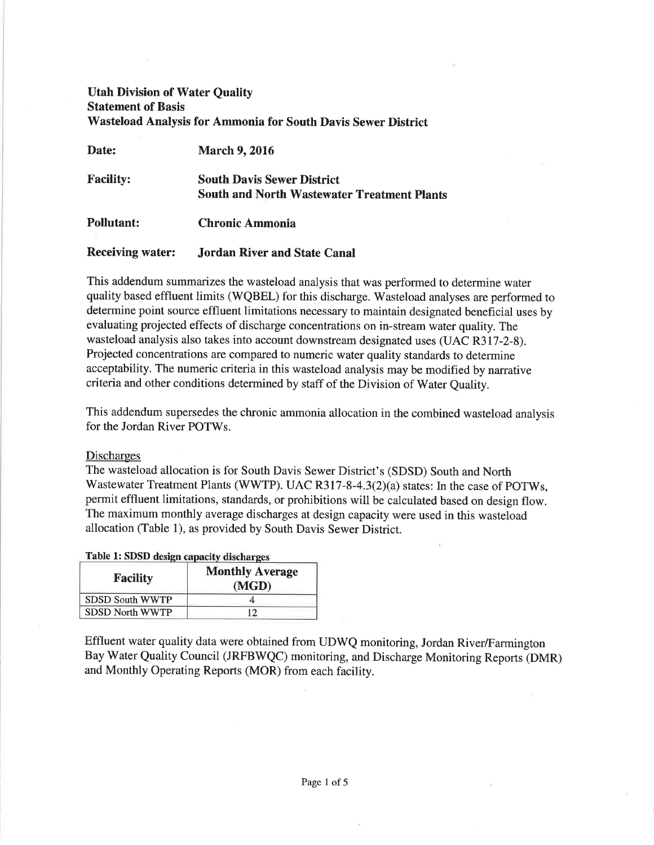# Utah Division of Water Quality Statement of Basis Wasteload Analysis for Ammonia for South Davis Sewer District

| Date:                   | <b>March 9, 2016</b>                                                                    |
|-------------------------|-----------------------------------------------------------------------------------------|
| <b>Facility:</b>        | <b>South Davis Sewer District</b><br><b>South and North Wastewater Treatment Plants</b> |
| <b>Pollutant:</b>       | <b>Chronic Ammonia</b>                                                                  |
| <b>Receiving water:</b> | <b>Jordan River and State Canal</b>                                                     |

This addendum summarizes the wasteload analysis that was performed to determine water quality based effluent limits (WQBEL) for this discharge. Wasteload analyses are performed to determine point source effluent limitations necessary to maintain designated beneficial uses by evaluating projected effects of discharge concentrations on in-stream water quality. The wasteload analysis also takes into account downstream designated uses (UAC R317-2-S). Projected concentrations are compared to numeric water quality standards to determine acceptability. The numeric criteria in this wasteload analysis may be modified by narrative criteria and other conditions determined by staff of the Division of Water Quality.

This addendum supersedes the chronic ammonia allocation in the combined wasteload analysis for the Jordan River POTWs.

## Discharges

The wasteload allocation is for South Davis Sewer District's (SDSD) South and North Wastewater Treatment Plants (WWTP). UAC R317-8-4.3 $(2)(a)$  states: In the case of POTWs, permit effluent limitations, standards, or prohibitions will be calculated based on design flow. The maximum monthly average discharges at design capacity were used in this wasteload allocation (Table l), as provided by South Davis Sewer District.

### Table 1: SDSD

| <b>Facility</b>        | <b>Monthly Average</b><br>(MGD) |
|------------------------|---------------------------------|
| <b>SDSD South WWTP</b> |                                 |
| <b>SDSD North WWTP</b> | ר ו                             |

Effluent water quality data were obtained from UDWQ monitoring, Jordan River/Farmington Bay Water Quality Council (JRFBWQC) monitoring, and Discharge Monitoring Reports (DMR) and Monthly Operating Reports (MOR) from each facility.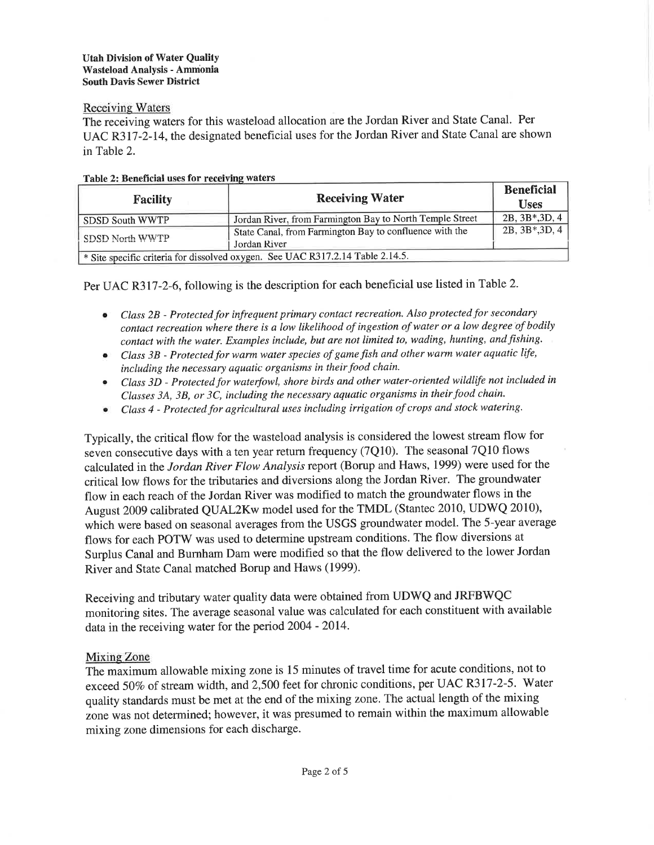## **Receiving Waters**

The receiving waters for this wasteload allocation are the Jordan River and State Canal. Per UAC R317-2-14, the designated beneficial uses for the Jordan River and State Canal are shown in Table 2.

| <b>Facility</b>                                                                | <b>Receiving Water</b>                                   | <b>Beneficial</b><br><b>Uses</b> |  |  |  |  |
|--------------------------------------------------------------------------------|----------------------------------------------------------|----------------------------------|--|--|--|--|
| <b>SDSD South WWTP</b>                                                         | Jordan River, from Farmington Bay to North Temple Street | 2B, 3B*, 3D, 4                   |  |  |  |  |
|                                                                                | State Canal, from Farmington Bay to confluence with the  | $2B, 3B*, 3D, 4$                 |  |  |  |  |
| SDSD North WWTP                                                                | Jordan River                                             |                                  |  |  |  |  |
| * Site specific criteria for dissolved oxygen. See UAC R317.2.14 Table 2.14.5. |                                                          |                                  |  |  |  |  |

## Table 2: Beneficial uses for receiving waters

Per UAC R3l7-2-6, following is the description for each beneficial use listed in Table2.

- Class 2B Protected for infrequent primary contact recreation. Also protected for secondary contact recreation where there is a low tikelihood of ingestion of water or a low degree of bodily contact with the water. Examples include, but are not limited to, wading, hunting, andfishing. a
- Class 3B Protected for warm water species of game fish and other warm water aquatic life, including the necessary aquatic organisms in their food chain. a
- Class 3D Protected for waterfowl, shore birds and other water-oriented wildlife not included in Classes 3A, 3B, or 3C, including the necessary aquatic organisms in their food chain. a
- Class 4 Protected for agricultural uses including irrigøtion of crops and stock watering. a

Typically, the critical flow for the wasteload analysis is considered the lowest stream flow for seven consecutive days with a ten year return frequency (7Q10). The seasonal 7Q10 flows calculated in the Jordan River Flow Analysis report (Borup and Haws, 1999) were used for the critical low flows for the tributaries and diversions along the Jordan River. The groundwater flow in each reach of the Jordan River was modified to match the groundwater flows in the August 2009 calibrated QUAL2Kw model used for the TMDL (Stantec 2010, UDWQ 2010), which were based on seasonal averages from the USGS groundwater model. The 5-year average flows for each POTW was used to determine upstream conditions. The flow diversions at Surplus Canal and Burnham Dam were modified so that the flow delivered to the lower Jordan River and State Canal matched Borup and Haws (1999).

Receiving and tributary water quality data were obtained from UDWQ and JRFBWQC monitoring sites. The average seasonal value was calculated for each constituent with available data in the receiving water for the period 2004 - 2014.

## Mixing Zone

The maximum allowable mixing zone is 15 minutes of travel time for acute conditions, not to exceed 507o of stream width, and 2,500 feet for chronic conditions, per UAC R3I7-2-5. Water quality standards must be met at the end of the mixing zone. The actual length of the mixing zone was not determined; however, it was presumed to remain within the maximum allowable mixing zone dimensions for each discharge.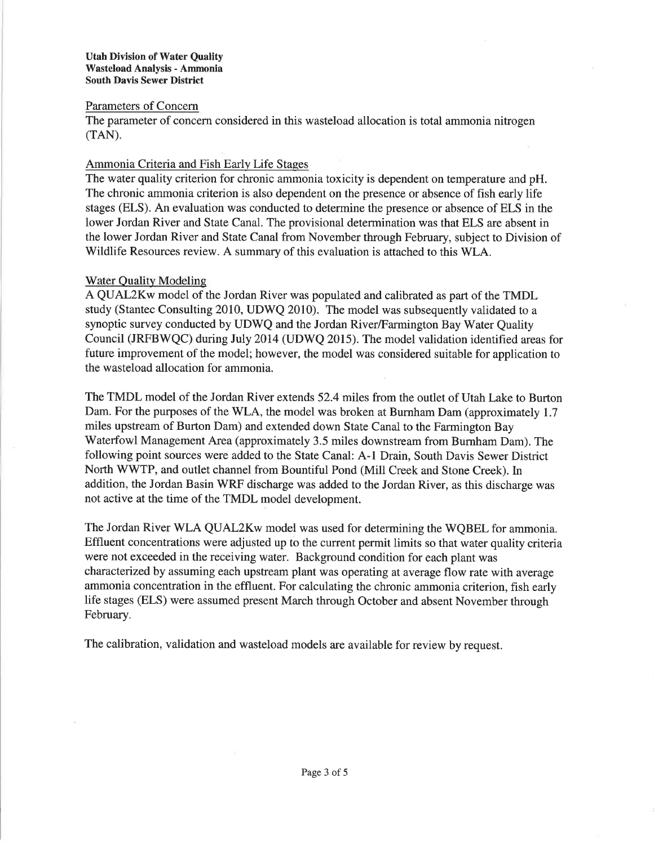## Parameters of Concern

The parameter of concern considered in this wasteload allocation is total ammonia nitrogen  $(TAN)$ .

## Ammonia Criteria and Fish Early Life Stages

The water quality criterion for chronic ammonia toxicity is dependent on temperature and pH. The chronic ammonia criterion is also dependent on the presence or absence of fish early life stages (ELS). An evaluation was conducted to determine the presence or absence of ELS in the lower Jordan River and State Canal. The provisional determination was that ELS are absent in the lower Jordan River and State Canal from November through February, subject to Division of Wildlife Resources review. A summary of this evaluation is attached to this WLA.

## Water Quality Modeling

A QUAL2Kw model of the Jordan River was populated and calibrated as part of the TMDL study (Stantec Consulting 2010, UDWQ 2010). The model was subsequently validated to a synoptic survey conducted by UDWQ and the Jordan River/Farmington Bay Water Quality Council (JRFBWQC) during July 2014 (UDWQ 2015). The model validation identified areas for future improvement of the model; however, the model was considered suitable for application to the wasteload allocation for ammonia.

The TMDL model of the Jordan River extends 52.4 miles from the outlet of Utah Lake to Burton Dam. For the purposes of the WLA, the model was broken at Burnham Dam (approximately 1.7 miles upstream of Burton Dam) and extended down State Canal to the Farmington Bay Waterfowl Management Area (approximately 3.5 miles downstream from Burnham Dam). The following point sources were added to the State Canal: A-1 Drain, South Davis Sewer District North WWTP, and outlet channel from Bountiful Pond (Mill Creek and Stone Creek). ln addition, the Jordan Basin WRF discharge was added to the Jordan River, as this discharge was not active at the time of the TMDL model development.

The Jordan River WLA QUAL2Kw model was used for determining the WQBEL for ammonia. Effluent concentrations were adjusted up to the current permit limits so that water quality criteria were not exceeded in the receiving water. Background condition for each plant was characterized by assuming each upstream plant was operating at average flow rate with average ammonia concentration in the effluent. For calculating the chronic ammonia criterion, fish early life stages (ELS) were assumed present March through October and absent November through February.

The calibration, validation and wasteload models are available for review by request.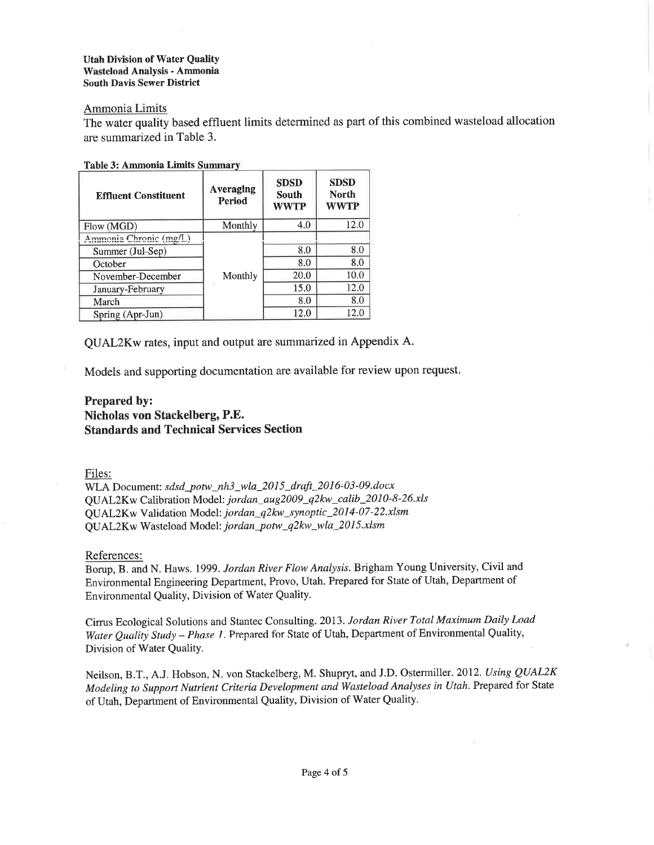#### Utah Division of Water Quality Wasteload Analysis - Ammonia South Davis Sewer District

# Ammonia Limits

The water quality based effluent limits determined as part of this combined wasteload allocation are summarized in Table 3.

| <b>Table 3: Ammonia Limits Summary</b> |  |  |  |  |  |
|----------------------------------------|--|--|--|--|--|
|----------------------------------------|--|--|--|--|--|

| <b>Effluent Constituent</b> | Averaging<br><b>Period</b> | <b>SDSD</b><br>South<br>WWTP | <b>SDSD</b><br><b>North</b><br><b>WWTP</b> |
|-----------------------------|----------------------------|------------------------------|--------------------------------------------|
| Flow (MGD)                  | Monthly                    | 4.0                          | 12.0                                       |
| Ammonia Chronic (mg/L)      |                            |                              |                                            |
| Summer (Jul-Sep)            |                            | 8.0                          | 8.0                                        |
| October                     |                            | 8.0                          | 8.0                                        |
| November-December           | Monthly                    | 20.0                         | 10.0                                       |
| January-February            | . PG                       | 15.0                         | 12.0                                       |
| March                       |                            | 8.0                          | 8.0                                        |
| Spring (Apr-Jun)            |                            | 12.0                         | 12.0                                       |

QUAL2Kw rates, input and output are summarized in Appendix A.

Models and supporting documentation are available for review upon request.

## Prepared by: Nicholas von Stackelberg, P.E. Standards and Technical Services Section

### Files:

WLA Document: sdsd\_potw\_nh3\_wla\_2015\_draft\_2016-03-09.docx<br>  $\frac{1}{2}$  OU 1.0  $\frac{1}{2}$  GeV have been Madaki isoday, ava2000, albumadik, 2010.1  $\frac{W}{2}$ W Calibration Model:  $jordan_aug2009_q2kw_1$  calib  $2010-8-26$ .xls QUAL2Kw Validation Model: jordan\_q2kw\_synoptic\_2014-07-22.xlsm QUAL2Kw Wasteload Model: jordan\_potw\_q2kw\_wla\_2015.xlsm

References:

Borup, B. and N. Haws. 1999. Jordan River Flow Analysis. Brigham Young University, Civil and Environmental Engineering Department, Provo, Utah. Prepared for State of Utah, Department of Environmental Quality, Division of Water Quality.

Cirrus Ecological Solutions and Stantec Consulting. 2013. Jordan River Total Maximum Daily Load Water Quality Study - Phase 1. Prepared for State of Utah, Department of Environmental Quality, Division of Water Quality.

Neilson, B.T., A.J. Hobson, N. von Stackelberg, M. Shupryt, and J.D. Ostermiller. 2012. Using QUAL2K Modeling to Support Nutrient Criteria Development and Wasteload Analyses in Utah. Prepared for State of Utah, Department of Environmental Quality, Division of Water Quality.

)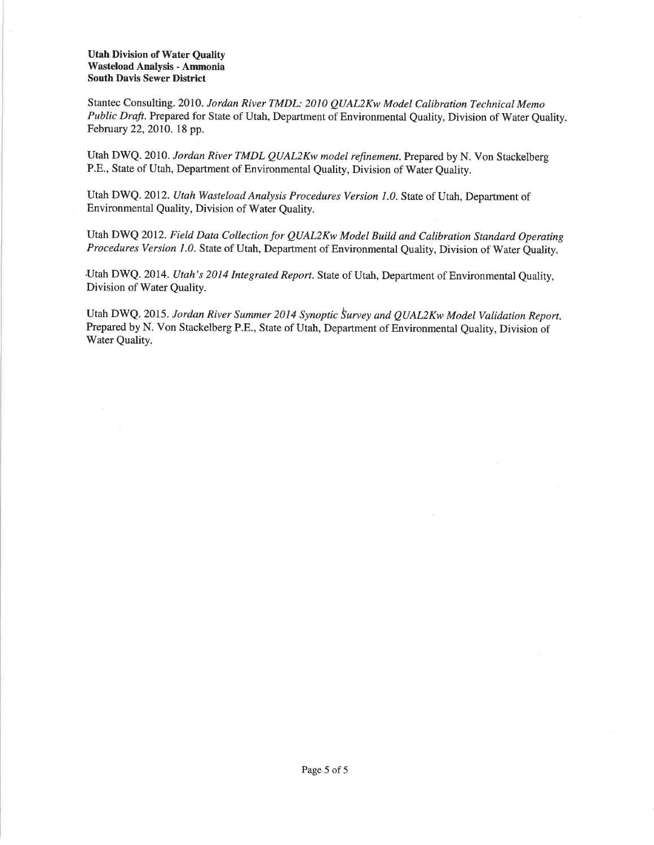#### Utah Division of Water Quality Wasteload Analysis - Arnmonia South Davis Sewer District

Stantec Consulting. 2070. Jordan River TMDL: 2010 QUAL2Kw Model Calibration Technical Memo Public Draft. Prepared for State of Utah, Department of Environmental Quality, Division of Water Quality. February 22,2010. 18 pp.

Utah DWQ. 2010. Jordan River TMDL QUAL2Kw model refinement. Prepared by N. Von Stackelberg P.E., State of Utah, Department of Environmental Quality, Division of Water Quality.

Utah DWQ. 2012. Utah Wasteload Analysis Procedures Version 1.0. State of Utah, Department of Environmental Quality, Division of Water Quality.

Utah DWQ 2012. Field Data Collection for QUAL2Kw Model Build and Calibration Standard Operating Procedures Version 1.0. State of Utah, Department of Environmental Quality, Division of Water Quality.

Utah DWQ. 2014. Utah's 2014 Integrated Report. State of Utah, Department of Environmental Quality, Division of Water Quality.

Utah DWQ. 2015. Jordan River Summer 2014 Synoptic Survey and QUAL2Kw Model Validation Report. Prepared by N. Von Stackelberg P.E., State of Utah, Department of Environmental Quality, Division of Water Quality.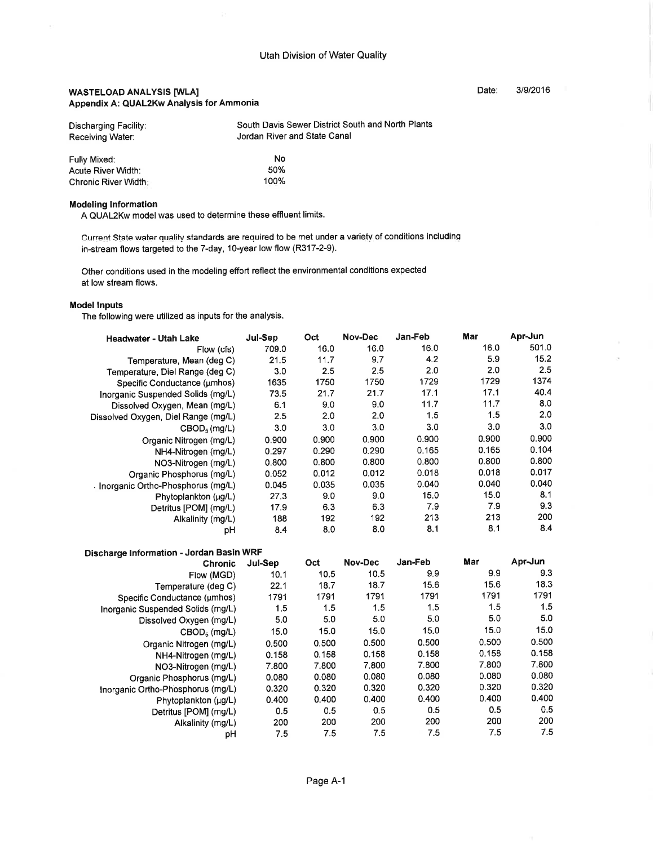#### WASTELOAD ANALYSIS [WLA] Appendix A: QUAL2Kw Analysis for Ammonia

| Discharging Facility: | South Davis Sewer District South and North Plants |
|-----------------------|---------------------------------------------------|
| Receiving Water:      | Jordan River and State Canal                      |
|                       |                                                   |

| Fully Mixed:         | No   |
|----------------------|------|
| Acute River Width:   | 50%  |
| Chronic River Width: | 100% |

#### Modeling lnformation

A QUAL2Kw model was used to determine these effluent limits.

Current State water quality standards are required to be met under a variety of conditions including in-stream flows targeted to the 7-day, 1O-year low flow (R317-2-9).

Other conditions used in the modeling effort reflect the environmental conditions expected at low stream flows.

#### Model lnputs

The following were utilized as inputs for the analysis.

| <b>Headwater - Utah Lake</b>        | Jul-Sep | Oct   | Nov-Dec | Jan-Feb | Mar   | Apr-Jun |
|-------------------------------------|---------|-------|---------|---------|-------|---------|
| Flow (cls)                          | 709.0   | 16.0  | 16.0    | 16.0    | 16.0  | 501.0   |
| Temperature, Mean (deg C)           | 21.5    | 11.7  | 9.7     | 4.2     | 5.9   | 15.2    |
| Temperature, Diel Range (deg C)     | 3.0     | 2.5   | 2.5     | 2.0     | 2.0   | 2.5     |
| Specific Conductance (umhos)        | 1635    | 1750  | 1750    | 1729    | 1729  | 1374    |
| Inorganic Suspended Solids (mg/L)   | 73.5    | 21.7  | 21.7    | 17.1    | 17.1  | 40.4    |
| Dissolved Oxygen, Mean (mg/L)       | 6.1     | 9.0   | 9.0     | 11.7    | 11.7  | 8.0     |
| Dissolved Oxygen, Diel Range (mg/L) | 2.5     | 2.0   | 2.0     | 1.5     | 1.5   | 2.0     |
| $CBOD5$ (mg/L)                      | 3.0     | 3.0   | 3.0     | 3.0     | 3.0   | 3.0     |
| Organic Nitrogen (mg/L)             | 0.900   | 0.900 | 0.900   | 0.900   | 0.900 | 0.900   |
| NH4-Nitrogen (mg/L)                 | 0.297   | 0.290 | 0.290   | 0.165   | 0.165 | 0.104   |
| NO3-Nitrogen (mg/L)                 | 0.800   | 0.800 | 0.800   | 0.800   | 0.800 | 0.800   |
| Organic Phosphorus (mg/L)           | 0.052   | 0.012 | 0.012   | 0.018   | 0.018 | 0.017   |
| Inorganic Ortho-Phosphorus (mg/L)   | 0.045   | 0.035 | 0.035   | 0.040   | 0.040 | 0.040   |
| Phytoplankton (µg/L)                | 27.3    | 9.0   | 9.0     | 15.0    | 15.0  | 8.1     |
| Detritus [POM] (mg/L)               | 17.9    | 6.3   | 6.3     | 7.9     | 7.9   | 9.3     |
| Alkalinity (mg/L)                   | 188     | 192   | 192     | 213     | 213   | 200     |
| рH                                  | 8.4     | 8.0   | 8.0     | 8.1     | 8.1   | 8.4     |

| Discharge Information - Jordan Basin WRF |         |       |         |         |       |         |  |
|------------------------------------------|---------|-------|---------|---------|-------|---------|--|
| <b>Chronic</b>                           | Jul-Sep | Oct   | Nov-Dec | Jan-Feb | Mar   | Apr-Jun |  |
| Flow (MGD)                               | 10.1    | 10.5  | 10.5    | 9.9     | 9.9   | 9.3     |  |
| Temperature (deg C)                      | 22.1    | 18.7  | 18.7    | 15.6    | 15.6  | 18.3    |  |
| Specific Conductance (umhos)             | 1791    | 1791  | 1791    | 1791    | 1791  | 1791    |  |
| Inorganic Suspended Solids (mg/L)        | 1.5     | 1.5   | 1.5     | 1.5     | 1,5   | 1.5     |  |
| Dissolved Oxygen (mg/L)                  | 5.0     | 5.0   | 5.0     | 5.0     | 5.0   | 5.0     |  |
| CBOD <sub>5</sub> (mq/L)                 | 15.0    | 15.0  | 15.0    | 15.0    | 15.0  | 15.0    |  |
| Organic Nitrogen (mg/L)                  | 0.500   | 0.500 | 0.500   | 0.500   | 0.500 | 0.500   |  |
| NH4-Nitrogen (mg/L)                      | 0.158   | 0.158 | 0.158   | 0.158   | 0.158 | 0.158   |  |
| NO3-Nitrogen (mg/L)                      | 7.800   | 7.800 | 7.800   | 7.800   | 7,800 | 7.800   |  |
| Organic Phosphorus (mg/L)                | 0.080   | 0.080 | 0.080   | 0.080   | 0.080 | 0.080   |  |
| Inorganic Ortho-Phosphorus (mg/L)        | 0.320   | 0.320 | 0.320   | 0.320   | 0.320 | 0.320   |  |
| Phytoplankton (µg/L)                     | 0.400   | 0.400 | 0.400   | 0.400   | 0.400 | 0.400   |  |
| Detritus [POM] (mg/L)                    | 0.5     | 0.5   | 0.5     | 0.5     | 0.5   | 0.5     |  |
| Alkalinity (mg/L)                        | 200     | 200   | 200     | 200     | 200   | 200     |  |
| рH                                       | 7.5     | 7.5   | 7.5     | 7.5     | 7.5   | 7.5     |  |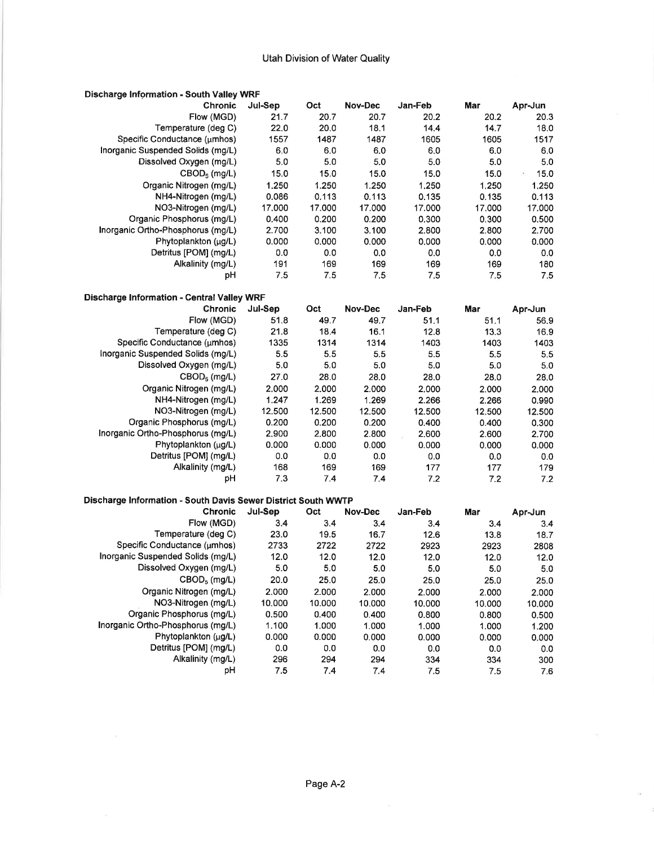| Jul-Sep<br>Oct<br>Nov-Dec<br>Jan-Feb<br>Mar<br><b>Chronic</b><br>Apr-Jun<br>Flow (MGD)<br>21.7<br>20.7<br>20.7<br>20.2<br>20.2<br>20.3<br>Temperature (deg C)<br>22.0<br>20.0<br>18.1<br>14.4<br>18.0<br>14.7<br>Specific Conductance (umhos)<br>1557<br>1605<br>1487<br>1487<br>1605<br>1517<br>Inorganic Suspended Solids (mg/L)<br>6.0<br>6.0<br>6.0<br>6.0<br>6.0<br>6.0<br>5.0<br>5.0<br>5.0<br>5.0<br>5.0<br>5.0<br>Dissolved Oxygen (mg/L)<br>$CBOD5$ (mg/L)<br>15.0<br>15.0<br>15.0<br>15.0<br>15.0<br>15.0<br>ò.<br>Organic Nitrogen (mg/L)<br>1.250<br>1.250<br>1.250<br>1,250<br>1,250<br>1,250<br>0.086<br>0.113<br>NH4-Nitrogen (mg/L)<br>0.113<br>0.135<br>0.135<br>0.113<br>NO3-Nitrogen (mg/L)<br>17.000<br>17.000<br>17.000<br>17.000<br>17.000<br>17.000<br>Organic Phosphorus (mg/L)<br>0.400<br>0.200<br>0.200<br>0.300<br>0.300<br>0.500<br>Inorganic Ortho-Phosphorus (mg/L)<br>2.700<br>3.100<br>3.100<br>2.800<br>2.800<br>2.700<br>Phytoplankton (µg/L)<br>0.000<br>0.000<br>0.000<br>0.000<br>0.000<br>0.000<br>Detritus [POM] (mg/L)<br>0.0<br>0.0<br>0.0<br>0.0<br>0.0<br>0.0<br>Alkalinity (mg/L)<br>191<br>169<br>169<br>169<br>169<br>180<br>7.5<br>7.5<br>7.5<br>7.5<br>рH<br>7.5<br>7.5<br><b>Discharge Information - Central Valley WRF</b><br><b>Chronic</b><br>Jul-Sep<br>Oct<br>Nov-Dec<br>Jan-Feb<br>Mar<br>Apr-Jun<br>Flow (MGD)<br>51.8<br>49.7<br>49.7<br>51.1<br>51.1<br>56.9<br>Temperature (deg C)<br>21.8<br>18.4<br>16.1<br>12.8<br>13.3<br>16.9<br>Specific Conductance (umhos)<br>1335<br>1314<br>1403<br>1314<br>1403<br>1403<br>Inorganic Suspended Solids (mg/L)<br>5.5<br>5.5<br>5.5<br>5.5<br>5.5<br>5.5<br>Dissolved Oxygen (mg/L)<br>5.0<br>5.0<br>5.0<br>5.0<br>5.0<br>5.0<br>CBOD <sub>5</sub> (mg/L)<br>27.0<br>28.0<br>28.0<br>28.0<br>28.0<br>28.0<br>Organic Nitrogen (mg/L)<br>2,000<br>2,000<br>2.000<br>2.000<br>2.000<br>2.000<br>NH4-Nitrogen (mg/L)<br>1.247<br>1.269<br>1.269<br>2.266<br>2.266<br>0.990<br>NO3-Nitrogen (mg/L)<br>12.500<br>12.500<br>12.500<br>12.500<br>12.500<br>12.500<br>Organic Phosphorus (mg/L)<br>0.200<br>0.200<br>0.200<br>0.400<br>0.300<br>0.400<br>Inorganic Ortho-Phosphorus (mg/L)<br>2,900<br>2,800<br>2.800<br>2.600<br>2.600<br>2.700<br>Phytoplankton (µg/L)<br>0.000<br>0.000<br>0.000<br>0.000<br>0.000<br>0.000<br>Detritus [POM] (mg/L)<br>0.0<br>0.0<br>0.0<br>0.0<br>0.0<br>0.0<br>Alkalinity (mg/L)<br>168<br>169<br>169<br>177<br>177<br>179<br>7.3<br>7.2<br>7.2<br>pH<br>7.4<br>7.4<br>7.2<br>Discharge Information - South Davis Sewer District South WWTP<br>Jul-Sep<br>Oct<br><b>Nov-Dec</b><br>Jan-Feb<br><b>Chronic</b><br>Mar<br>Apr-Jun<br>3.4<br>Flow (MGD)<br>3.4<br>3,4<br>3.4<br>3.4<br>3.4<br>Temperature (deg C)<br>23.0<br>16.7<br>12.6<br>19.5<br>18.7<br>13.8<br>Specific Conductance (umhos)<br>2733<br>2722<br>2722<br>2923<br>2923<br>2808<br>Inorganic Suspended Solids (mg/L)<br>12.0<br>12.0<br>12.0<br>12.0<br>12.0<br>12.0<br>Dissolved Oxygen (mg/L)<br>5.0<br>5.0<br>5.0<br>5.0<br>5.0<br>5.0<br>20.0<br>25.0<br>25.0<br>$\text{CBOD}_5$ (mg/L)<br>25.0<br>25.0<br>25.0<br>Organic Nitrogen (mg/L)<br>2.000<br>2.000<br>2.000<br>2.000<br>2.000<br>2.000<br>NO3-Nitrogen (mg/L)<br>10.000<br>10.000<br>10.000<br>10.000<br>10.000<br>10.000<br>Organic Phosphorus (mg/L)<br>0.500<br>0.400<br>0.400<br>0.800<br>0.800<br>0.500<br>Inorganic Ortho-Phosphorus (mg/L)<br>1.100<br>1.000<br>1.000<br>1.000<br>1.000<br>1.200<br>Phytoplankton (µg/L)<br>0.000<br>0.000<br>0.000<br>0.000<br>0.000<br>0.000<br>Detritus [POM] (mg/L)<br>0.0<br>0.0<br>0.0<br>$0.0\,$<br>0.0<br>0.0<br>Alkalinity (mg/L)<br>296<br>294<br>294<br>334<br>334<br>300<br>pH | <b>Discharge Information - South Valley WRF</b> |     |     |     |     |     |     |
|--------------------------------------------------------------------------------------------------------------------------------------------------------------------------------------------------------------------------------------------------------------------------------------------------------------------------------------------------------------------------------------------------------------------------------------------------------------------------------------------------------------------------------------------------------------------------------------------------------------------------------------------------------------------------------------------------------------------------------------------------------------------------------------------------------------------------------------------------------------------------------------------------------------------------------------------------------------------------------------------------------------------------------------------------------------------------------------------------------------------------------------------------------------------------------------------------------------------------------------------------------------------------------------------------------------------------------------------------------------------------------------------------------------------------------------------------------------------------------------------------------------------------------------------------------------------------------------------------------------------------------------------------------------------------------------------------------------------------------------------------------------------------------------------------------------------------------------------------------------------------------------------------------------------------------------------------------------------------------------------------------------------------------------------------------------------------------------------------------------------------------------------------------------------------------------------------------------------------------------------------------------------------------------------------------------------------------------------------------------------------------------------------------------------------------------------------------------------------------------------------------------------------------------------------------------------------------------------------------------------------------------------------------------------------------------------------------------------------------------------------------------------------------------------------------------------------------------------------------------------------------------------------------------------------------------------------------------------------------------------------------------------------------------------------------------------------------------------------------------------------------------------------------------------------------------------------------------------------------------------------------------------------------------------------------------------------------------------------------------------------------------------------------------------------------------------------------------------------------------------------------------------------------------------------------------------------------------------------------------------------------------------------------------------------------------------------|-------------------------------------------------|-----|-----|-----|-----|-----|-----|
|                                                                                                                                                                                                                                                                                                                                                                                                                                                                                                                                                                                                                                                                                                                                                                                                                                                                                                                                                                                                                                                                                                                                                                                                                                                                                                                                                                                                                                                                                                                                                                                                                                                                                                                                                                                                                                                                                                                                                                                                                                                                                                                                                                                                                                                                                                                                                                                                                                                                                                                                                                                                                                                                                                                                                                                                                                                                                                                                                                                                                                                                                                                                                                                                                                                                                                                                                                                                                                                                                                                                                                                                                                                                                                  |                                                 |     |     |     |     |     |     |
|                                                                                                                                                                                                                                                                                                                                                                                                                                                                                                                                                                                                                                                                                                                                                                                                                                                                                                                                                                                                                                                                                                                                                                                                                                                                                                                                                                                                                                                                                                                                                                                                                                                                                                                                                                                                                                                                                                                                                                                                                                                                                                                                                                                                                                                                                                                                                                                                                                                                                                                                                                                                                                                                                                                                                                                                                                                                                                                                                                                                                                                                                                                                                                                                                                                                                                                                                                                                                                                                                                                                                                                                                                                                                                  |                                                 |     |     |     |     |     |     |
|                                                                                                                                                                                                                                                                                                                                                                                                                                                                                                                                                                                                                                                                                                                                                                                                                                                                                                                                                                                                                                                                                                                                                                                                                                                                                                                                                                                                                                                                                                                                                                                                                                                                                                                                                                                                                                                                                                                                                                                                                                                                                                                                                                                                                                                                                                                                                                                                                                                                                                                                                                                                                                                                                                                                                                                                                                                                                                                                                                                                                                                                                                                                                                                                                                                                                                                                                                                                                                                                                                                                                                                                                                                                                                  |                                                 |     |     |     |     |     |     |
|                                                                                                                                                                                                                                                                                                                                                                                                                                                                                                                                                                                                                                                                                                                                                                                                                                                                                                                                                                                                                                                                                                                                                                                                                                                                                                                                                                                                                                                                                                                                                                                                                                                                                                                                                                                                                                                                                                                                                                                                                                                                                                                                                                                                                                                                                                                                                                                                                                                                                                                                                                                                                                                                                                                                                                                                                                                                                                                                                                                                                                                                                                                                                                                                                                                                                                                                                                                                                                                                                                                                                                                                                                                                                                  |                                                 |     |     |     |     |     |     |
|                                                                                                                                                                                                                                                                                                                                                                                                                                                                                                                                                                                                                                                                                                                                                                                                                                                                                                                                                                                                                                                                                                                                                                                                                                                                                                                                                                                                                                                                                                                                                                                                                                                                                                                                                                                                                                                                                                                                                                                                                                                                                                                                                                                                                                                                                                                                                                                                                                                                                                                                                                                                                                                                                                                                                                                                                                                                                                                                                                                                                                                                                                                                                                                                                                                                                                                                                                                                                                                                                                                                                                                                                                                                                                  |                                                 |     |     |     |     |     |     |
|                                                                                                                                                                                                                                                                                                                                                                                                                                                                                                                                                                                                                                                                                                                                                                                                                                                                                                                                                                                                                                                                                                                                                                                                                                                                                                                                                                                                                                                                                                                                                                                                                                                                                                                                                                                                                                                                                                                                                                                                                                                                                                                                                                                                                                                                                                                                                                                                                                                                                                                                                                                                                                                                                                                                                                                                                                                                                                                                                                                                                                                                                                                                                                                                                                                                                                                                                                                                                                                                                                                                                                                                                                                                                                  |                                                 |     |     |     |     |     |     |
|                                                                                                                                                                                                                                                                                                                                                                                                                                                                                                                                                                                                                                                                                                                                                                                                                                                                                                                                                                                                                                                                                                                                                                                                                                                                                                                                                                                                                                                                                                                                                                                                                                                                                                                                                                                                                                                                                                                                                                                                                                                                                                                                                                                                                                                                                                                                                                                                                                                                                                                                                                                                                                                                                                                                                                                                                                                                                                                                                                                                                                                                                                                                                                                                                                                                                                                                                                                                                                                                                                                                                                                                                                                                                                  |                                                 |     |     |     |     |     |     |
|                                                                                                                                                                                                                                                                                                                                                                                                                                                                                                                                                                                                                                                                                                                                                                                                                                                                                                                                                                                                                                                                                                                                                                                                                                                                                                                                                                                                                                                                                                                                                                                                                                                                                                                                                                                                                                                                                                                                                                                                                                                                                                                                                                                                                                                                                                                                                                                                                                                                                                                                                                                                                                                                                                                                                                                                                                                                                                                                                                                                                                                                                                                                                                                                                                                                                                                                                                                                                                                                                                                                                                                                                                                                                                  |                                                 |     |     |     |     |     |     |
|                                                                                                                                                                                                                                                                                                                                                                                                                                                                                                                                                                                                                                                                                                                                                                                                                                                                                                                                                                                                                                                                                                                                                                                                                                                                                                                                                                                                                                                                                                                                                                                                                                                                                                                                                                                                                                                                                                                                                                                                                                                                                                                                                                                                                                                                                                                                                                                                                                                                                                                                                                                                                                                                                                                                                                                                                                                                                                                                                                                                                                                                                                                                                                                                                                                                                                                                                                                                                                                                                                                                                                                                                                                                                                  |                                                 |     |     |     |     |     |     |
|                                                                                                                                                                                                                                                                                                                                                                                                                                                                                                                                                                                                                                                                                                                                                                                                                                                                                                                                                                                                                                                                                                                                                                                                                                                                                                                                                                                                                                                                                                                                                                                                                                                                                                                                                                                                                                                                                                                                                                                                                                                                                                                                                                                                                                                                                                                                                                                                                                                                                                                                                                                                                                                                                                                                                                                                                                                                                                                                                                                                                                                                                                                                                                                                                                                                                                                                                                                                                                                                                                                                                                                                                                                                                                  |                                                 |     |     |     |     |     |     |
|                                                                                                                                                                                                                                                                                                                                                                                                                                                                                                                                                                                                                                                                                                                                                                                                                                                                                                                                                                                                                                                                                                                                                                                                                                                                                                                                                                                                                                                                                                                                                                                                                                                                                                                                                                                                                                                                                                                                                                                                                                                                                                                                                                                                                                                                                                                                                                                                                                                                                                                                                                                                                                                                                                                                                                                                                                                                                                                                                                                                                                                                                                                                                                                                                                                                                                                                                                                                                                                                                                                                                                                                                                                                                                  |                                                 |     |     |     |     |     |     |
|                                                                                                                                                                                                                                                                                                                                                                                                                                                                                                                                                                                                                                                                                                                                                                                                                                                                                                                                                                                                                                                                                                                                                                                                                                                                                                                                                                                                                                                                                                                                                                                                                                                                                                                                                                                                                                                                                                                                                                                                                                                                                                                                                                                                                                                                                                                                                                                                                                                                                                                                                                                                                                                                                                                                                                                                                                                                                                                                                                                                                                                                                                                                                                                                                                                                                                                                                                                                                                                                                                                                                                                                                                                                                                  |                                                 |     |     |     |     |     |     |
|                                                                                                                                                                                                                                                                                                                                                                                                                                                                                                                                                                                                                                                                                                                                                                                                                                                                                                                                                                                                                                                                                                                                                                                                                                                                                                                                                                                                                                                                                                                                                                                                                                                                                                                                                                                                                                                                                                                                                                                                                                                                                                                                                                                                                                                                                                                                                                                                                                                                                                                                                                                                                                                                                                                                                                                                                                                                                                                                                                                                                                                                                                                                                                                                                                                                                                                                                                                                                                                                                                                                                                                                                                                                                                  |                                                 |     |     |     |     |     |     |
|                                                                                                                                                                                                                                                                                                                                                                                                                                                                                                                                                                                                                                                                                                                                                                                                                                                                                                                                                                                                                                                                                                                                                                                                                                                                                                                                                                                                                                                                                                                                                                                                                                                                                                                                                                                                                                                                                                                                                                                                                                                                                                                                                                                                                                                                                                                                                                                                                                                                                                                                                                                                                                                                                                                                                                                                                                                                                                                                                                                                                                                                                                                                                                                                                                                                                                                                                                                                                                                                                                                                                                                                                                                                                                  |                                                 |     |     |     |     |     |     |
|                                                                                                                                                                                                                                                                                                                                                                                                                                                                                                                                                                                                                                                                                                                                                                                                                                                                                                                                                                                                                                                                                                                                                                                                                                                                                                                                                                                                                                                                                                                                                                                                                                                                                                                                                                                                                                                                                                                                                                                                                                                                                                                                                                                                                                                                                                                                                                                                                                                                                                                                                                                                                                                                                                                                                                                                                                                                                                                                                                                                                                                                                                                                                                                                                                                                                                                                                                                                                                                                                                                                                                                                                                                                                                  |                                                 |     |     |     |     |     |     |
|                                                                                                                                                                                                                                                                                                                                                                                                                                                                                                                                                                                                                                                                                                                                                                                                                                                                                                                                                                                                                                                                                                                                                                                                                                                                                                                                                                                                                                                                                                                                                                                                                                                                                                                                                                                                                                                                                                                                                                                                                                                                                                                                                                                                                                                                                                                                                                                                                                                                                                                                                                                                                                                                                                                                                                                                                                                                                                                                                                                                                                                                                                                                                                                                                                                                                                                                                                                                                                                                                                                                                                                                                                                                                                  |                                                 |     |     |     |     |     |     |
|                                                                                                                                                                                                                                                                                                                                                                                                                                                                                                                                                                                                                                                                                                                                                                                                                                                                                                                                                                                                                                                                                                                                                                                                                                                                                                                                                                                                                                                                                                                                                                                                                                                                                                                                                                                                                                                                                                                                                                                                                                                                                                                                                                                                                                                                                                                                                                                                                                                                                                                                                                                                                                                                                                                                                                                                                                                                                                                                                                                                                                                                                                                                                                                                                                                                                                                                                                                                                                                                                                                                                                                                                                                                                                  |                                                 |     |     |     |     |     |     |
|                                                                                                                                                                                                                                                                                                                                                                                                                                                                                                                                                                                                                                                                                                                                                                                                                                                                                                                                                                                                                                                                                                                                                                                                                                                                                                                                                                                                                                                                                                                                                                                                                                                                                                                                                                                                                                                                                                                                                                                                                                                                                                                                                                                                                                                                                                                                                                                                                                                                                                                                                                                                                                                                                                                                                                                                                                                                                                                                                                                                                                                                                                                                                                                                                                                                                                                                                                                                                                                                                                                                                                                                                                                                                                  |                                                 |     |     |     |     |     |     |
|                                                                                                                                                                                                                                                                                                                                                                                                                                                                                                                                                                                                                                                                                                                                                                                                                                                                                                                                                                                                                                                                                                                                                                                                                                                                                                                                                                                                                                                                                                                                                                                                                                                                                                                                                                                                                                                                                                                                                                                                                                                                                                                                                                                                                                                                                                                                                                                                                                                                                                                                                                                                                                                                                                                                                                                                                                                                                                                                                                                                                                                                                                                                                                                                                                                                                                                                                                                                                                                                                                                                                                                                                                                                                                  |                                                 |     |     |     |     |     |     |
|                                                                                                                                                                                                                                                                                                                                                                                                                                                                                                                                                                                                                                                                                                                                                                                                                                                                                                                                                                                                                                                                                                                                                                                                                                                                                                                                                                                                                                                                                                                                                                                                                                                                                                                                                                                                                                                                                                                                                                                                                                                                                                                                                                                                                                                                                                                                                                                                                                                                                                                                                                                                                                                                                                                                                                                                                                                                                                                                                                                                                                                                                                                                                                                                                                                                                                                                                                                                                                                                                                                                                                                                                                                                                                  |                                                 |     |     |     |     |     |     |
|                                                                                                                                                                                                                                                                                                                                                                                                                                                                                                                                                                                                                                                                                                                                                                                                                                                                                                                                                                                                                                                                                                                                                                                                                                                                                                                                                                                                                                                                                                                                                                                                                                                                                                                                                                                                                                                                                                                                                                                                                                                                                                                                                                                                                                                                                                                                                                                                                                                                                                                                                                                                                                                                                                                                                                                                                                                                                                                                                                                                                                                                                                                                                                                                                                                                                                                                                                                                                                                                                                                                                                                                                                                                                                  |                                                 |     |     |     |     |     |     |
|                                                                                                                                                                                                                                                                                                                                                                                                                                                                                                                                                                                                                                                                                                                                                                                                                                                                                                                                                                                                                                                                                                                                                                                                                                                                                                                                                                                                                                                                                                                                                                                                                                                                                                                                                                                                                                                                                                                                                                                                                                                                                                                                                                                                                                                                                                                                                                                                                                                                                                                                                                                                                                                                                                                                                                                                                                                                                                                                                                                                                                                                                                                                                                                                                                                                                                                                                                                                                                                                                                                                                                                                                                                                                                  |                                                 |     |     |     |     |     |     |
|                                                                                                                                                                                                                                                                                                                                                                                                                                                                                                                                                                                                                                                                                                                                                                                                                                                                                                                                                                                                                                                                                                                                                                                                                                                                                                                                                                                                                                                                                                                                                                                                                                                                                                                                                                                                                                                                                                                                                                                                                                                                                                                                                                                                                                                                                                                                                                                                                                                                                                                                                                                                                                                                                                                                                                                                                                                                                                                                                                                                                                                                                                                                                                                                                                                                                                                                                                                                                                                                                                                                                                                                                                                                                                  |                                                 |     |     |     |     |     |     |
|                                                                                                                                                                                                                                                                                                                                                                                                                                                                                                                                                                                                                                                                                                                                                                                                                                                                                                                                                                                                                                                                                                                                                                                                                                                                                                                                                                                                                                                                                                                                                                                                                                                                                                                                                                                                                                                                                                                                                                                                                                                                                                                                                                                                                                                                                                                                                                                                                                                                                                                                                                                                                                                                                                                                                                                                                                                                                                                                                                                                                                                                                                                                                                                                                                                                                                                                                                                                                                                                                                                                                                                                                                                                                                  |                                                 |     |     |     |     |     |     |
|                                                                                                                                                                                                                                                                                                                                                                                                                                                                                                                                                                                                                                                                                                                                                                                                                                                                                                                                                                                                                                                                                                                                                                                                                                                                                                                                                                                                                                                                                                                                                                                                                                                                                                                                                                                                                                                                                                                                                                                                                                                                                                                                                                                                                                                                                                                                                                                                                                                                                                                                                                                                                                                                                                                                                                                                                                                                                                                                                                                                                                                                                                                                                                                                                                                                                                                                                                                                                                                                                                                                                                                                                                                                                                  |                                                 |     |     |     |     |     |     |
|                                                                                                                                                                                                                                                                                                                                                                                                                                                                                                                                                                                                                                                                                                                                                                                                                                                                                                                                                                                                                                                                                                                                                                                                                                                                                                                                                                                                                                                                                                                                                                                                                                                                                                                                                                                                                                                                                                                                                                                                                                                                                                                                                                                                                                                                                                                                                                                                                                                                                                                                                                                                                                                                                                                                                                                                                                                                                                                                                                                                                                                                                                                                                                                                                                                                                                                                                                                                                                                                                                                                                                                                                                                                                                  |                                                 |     |     |     |     |     |     |
|                                                                                                                                                                                                                                                                                                                                                                                                                                                                                                                                                                                                                                                                                                                                                                                                                                                                                                                                                                                                                                                                                                                                                                                                                                                                                                                                                                                                                                                                                                                                                                                                                                                                                                                                                                                                                                                                                                                                                                                                                                                                                                                                                                                                                                                                                                                                                                                                                                                                                                                                                                                                                                                                                                                                                                                                                                                                                                                                                                                                                                                                                                                                                                                                                                                                                                                                                                                                                                                                                                                                                                                                                                                                                                  |                                                 |     |     |     |     |     |     |
|                                                                                                                                                                                                                                                                                                                                                                                                                                                                                                                                                                                                                                                                                                                                                                                                                                                                                                                                                                                                                                                                                                                                                                                                                                                                                                                                                                                                                                                                                                                                                                                                                                                                                                                                                                                                                                                                                                                                                                                                                                                                                                                                                                                                                                                                                                                                                                                                                                                                                                                                                                                                                                                                                                                                                                                                                                                                                                                                                                                                                                                                                                                                                                                                                                                                                                                                                                                                                                                                                                                                                                                                                                                                                                  |                                                 |     |     |     |     |     |     |
|                                                                                                                                                                                                                                                                                                                                                                                                                                                                                                                                                                                                                                                                                                                                                                                                                                                                                                                                                                                                                                                                                                                                                                                                                                                                                                                                                                                                                                                                                                                                                                                                                                                                                                                                                                                                                                                                                                                                                                                                                                                                                                                                                                                                                                                                                                                                                                                                                                                                                                                                                                                                                                                                                                                                                                                                                                                                                                                                                                                                                                                                                                                                                                                                                                                                                                                                                                                                                                                                                                                                                                                                                                                                                                  |                                                 |     |     |     |     |     |     |
|                                                                                                                                                                                                                                                                                                                                                                                                                                                                                                                                                                                                                                                                                                                                                                                                                                                                                                                                                                                                                                                                                                                                                                                                                                                                                                                                                                                                                                                                                                                                                                                                                                                                                                                                                                                                                                                                                                                                                                                                                                                                                                                                                                                                                                                                                                                                                                                                                                                                                                                                                                                                                                                                                                                                                                                                                                                                                                                                                                                                                                                                                                                                                                                                                                                                                                                                                                                                                                                                                                                                                                                                                                                                                                  |                                                 |     |     |     |     |     |     |
|                                                                                                                                                                                                                                                                                                                                                                                                                                                                                                                                                                                                                                                                                                                                                                                                                                                                                                                                                                                                                                                                                                                                                                                                                                                                                                                                                                                                                                                                                                                                                                                                                                                                                                                                                                                                                                                                                                                                                                                                                                                                                                                                                                                                                                                                                                                                                                                                                                                                                                                                                                                                                                                                                                                                                                                                                                                                                                                                                                                                                                                                                                                                                                                                                                                                                                                                                                                                                                                                                                                                                                                                                                                                                                  |                                                 |     |     |     |     |     |     |
|                                                                                                                                                                                                                                                                                                                                                                                                                                                                                                                                                                                                                                                                                                                                                                                                                                                                                                                                                                                                                                                                                                                                                                                                                                                                                                                                                                                                                                                                                                                                                                                                                                                                                                                                                                                                                                                                                                                                                                                                                                                                                                                                                                                                                                                                                                                                                                                                                                                                                                                                                                                                                                                                                                                                                                                                                                                                                                                                                                                                                                                                                                                                                                                                                                                                                                                                                                                                                                                                                                                                                                                                                                                                                                  |                                                 |     |     |     |     |     |     |
|                                                                                                                                                                                                                                                                                                                                                                                                                                                                                                                                                                                                                                                                                                                                                                                                                                                                                                                                                                                                                                                                                                                                                                                                                                                                                                                                                                                                                                                                                                                                                                                                                                                                                                                                                                                                                                                                                                                                                                                                                                                                                                                                                                                                                                                                                                                                                                                                                                                                                                                                                                                                                                                                                                                                                                                                                                                                                                                                                                                                                                                                                                                                                                                                                                                                                                                                                                                                                                                                                                                                                                                                                                                                                                  |                                                 |     |     |     |     |     |     |
|                                                                                                                                                                                                                                                                                                                                                                                                                                                                                                                                                                                                                                                                                                                                                                                                                                                                                                                                                                                                                                                                                                                                                                                                                                                                                                                                                                                                                                                                                                                                                                                                                                                                                                                                                                                                                                                                                                                                                                                                                                                                                                                                                                                                                                                                                                                                                                                                                                                                                                                                                                                                                                                                                                                                                                                                                                                                                                                                                                                                                                                                                                                                                                                                                                                                                                                                                                                                                                                                                                                                                                                                                                                                                                  |                                                 |     |     |     |     |     |     |
|                                                                                                                                                                                                                                                                                                                                                                                                                                                                                                                                                                                                                                                                                                                                                                                                                                                                                                                                                                                                                                                                                                                                                                                                                                                                                                                                                                                                                                                                                                                                                                                                                                                                                                                                                                                                                                                                                                                                                                                                                                                                                                                                                                                                                                                                                                                                                                                                                                                                                                                                                                                                                                                                                                                                                                                                                                                                                                                                                                                                                                                                                                                                                                                                                                                                                                                                                                                                                                                                                                                                                                                                                                                                                                  |                                                 |     |     |     |     |     |     |
|                                                                                                                                                                                                                                                                                                                                                                                                                                                                                                                                                                                                                                                                                                                                                                                                                                                                                                                                                                                                                                                                                                                                                                                                                                                                                                                                                                                                                                                                                                                                                                                                                                                                                                                                                                                                                                                                                                                                                                                                                                                                                                                                                                                                                                                                                                                                                                                                                                                                                                                                                                                                                                                                                                                                                                                                                                                                                                                                                                                                                                                                                                                                                                                                                                                                                                                                                                                                                                                                                                                                                                                                                                                                                                  |                                                 |     |     |     |     |     |     |
|                                                                                                                                                                                                                                                                                                                                                                                                                                                                                                                                                                                                                                                                                                                                                                                                                                                                                                                                                                                                                                                                                                                                                                                                                                                                                                                                                                                                                                                                                                                                                                                                                                                                                                                                                                                                                                                                                                                                                                                                                                                                                                                                                                                                                                                                                                                                                                                                                                                                                                                                                                                                                                                                                                                                                                                                                                                                                                                                                                                                                                                                                                                                                                                                                                                                                                                                                                                                                                                                                                                                                                                                                                                                                                  |                                                 |     |     |     |     |     |     |
|                                                                                                                                                                                                                                                                                                                                                                                                                                                                                                                                                                                                                                                                                                                                                                                                                                                                                                                                                                                                                                                                                                                                                                                                                                                                                                                                                                                                                                                                                                                                                                                                                                                                                                                                                                                                                                                                                                                                                                                                                                                                                                                                                                                                                                                                                                                                                                                                                                                                                                                                                                                                                                                                                                                                                                                                                                                                                                                                                                                                                                                                                                                                                                                                                                                                                                                                                                                                                                                                                                                                                                                                                                                                                                  |                                                 |     |     |     |     |     |     |
|                                                                                                                                                                                                                                                                                                                                                                                                                                                                                                                                                                                                                                                                                                                                                                                                                                                                                                                                                                                                                                                                                                                                                                                                                                                                                                                                                                                                                                                                                                                                                                                                                                                                                                                                                                                                                                                                                                                                                                                                                                                                                                                                                                                                                                                                                                                                                                                                                                                                                                                                                                                                                                                                                                                                                                                                                                                                                                                                                                                                                                                                                                                                                                                                                                                                                                                                                                                                                                                                                                                                                                                                                                                                                                  |                                                 |     |     |     |     |     |     |
|                                                                                                                                                                                                                                                                                                                                                                                                                                                                                                                                                                                                                                                                                                                                                                                                                                                                                                                                                                                                                                                                                                                                                                                                                                                                                                                                                                                                                                                                                                                                                                                                                                                                                                                                                                                                                                                                                                                                                                                                                                                                                                                                                                                                                                                                                                                                                                                                                                                                                                                                                                                                                                                                                                                                                                                                                                                                                                                                                                                                                                                                                                                                                                                                                                                                                                                                                                                                                                                                                                                                                                                                                                                                                                  |                                                 |     |     |     |     |     |     |
|                                                                                                                                                                                                                                                                                                                                                                                                                                                                                                                                                                                                                                                                                                                                                                                                                                                                                                                                                                                                                                                                                                                                                                                                                                                                                                                                                                                                                                                                                                                                                                                                                                                                                                                                                                                                                                                                                                                                                                                                                                                                                                                                                                                                                                                                                                                                                                                                                                                                                                                                                                                                                                                                                                                                                                                                                                                                                                                                                                                                                                                                                                                                                                                                                                                                                                                                                                                                                                                                                                                                                                                                                                                                                                  |                                                 |     |     |     |     |     |     |
|                                                                                                                                                                                                                                                                                                                                                                                                                                                                                                                                                                                                                                                                                                                                                                                                                                                                                                                                                                                                                                                                                                                                                                                                                                                                                                                                                                                                                                                                                                                                                                                                                                                                                                                                                                                                                                                                                                                                                                                                                                                                                                                                                                                                                                                                                                                                                                                                                                                                                                                                                                                                                                                                                                                                                                                                                                                                                                                                                                                                                                                                                                                                                                                                                                                                                                                                                                                                                                                                                                                                                                                                                                                                                                  |                                                 |     |     |     |     |     |     |
|                                                                                                                                                                                                                                                                                                                                                                                                                                                                                                                                                                                                                                                                                                                                                                                                                                                                                                                                                                                                                                                                                                                                                                                                                                                                                                                                                                                                                                                                                                                                                                                                                                                                                                                                                                                                                                                                                                                                                                                                                                                                                                                                                                                                                                                                                                                                                                                                                                                                                                                                                                                                                                                                                                                                                                                                                                                                                                                                                                                                                                                                                                                                                                                                                                                                                                                                                                                                                                                                                                                                                                                                                                                                                                  |                                                 |     |     |     |     |     |     |
|                                                                                                                                                                                                                                                                                                                                                                                                                                                                                                                                                                                                                                                                                                                                                                                                                                                                                                                                                                                                                                                                                                                                                                                                                                                                                                                                                                                                                                                                                                                                                                                                                                                                                                                                                                                                                                                                                                                                                                                                                                                                                                                                                                                                                                                                                                                                                                                                                                                                                                                                                                                                                                                                                                                                                                                                                                                                                                                                                                                                                                                                                                                                                                                                                                                                                                                                                                                                                                                                                                                                                                                                                                                                                                  |                                                 |     |     |     |     |     |     |
|                                                                                                                                                                                                                                                                                                                                                                                                                                                                                                                                                                                                                                                                                                                                                                                                                                                                                                                                                                                                                                                                                                                                                                                                                                                                                                                                                                                                                                                                                                                                                                                                                                                                                                                                                                                                                                                                                                                                                                                                                                                                                                                                                                                                                                                                                                                                                                                                                                                                                                                                                                                                                                                                                                                                                                                                                                                                                                                                                                                                                                                                                                                                                                                                                                                                                                                                                                                                                                                                                                                                                                                                                                                                                                  |                                                 |     |     |     |     |     |     |
|                                                                                                                                                                                                                                                                                                                                                                                                                                                                                                                                                                                                                                                                                                                                                                                                                                                                                                                                                                                                                                                                                                                                                                                                                                                                                                                                                                                                                                                                                                                                                                                                                                                                                                                                                                                                                                                                                                                                                                                                                                                                                                                                                                                                                                                                                                                                                                                                                                                                                                                                                                                                                                                                                                                                                                                                                                                                                                                                                                                                                                                                                                                                                                                                                                                                                                                                                                                                                                                                                                                                                                                                                                                                                                  |                                                 |     |     |     |     |     |     |
|                                                                                                                                                                                                                                                                                                                                                                                                                                                                                                                                                                                                                                                                                                                                                                                                                                                                                                                                                                                                                                                                                                                                                                                                                                                                                                                                                                                                                                                                                                                                                                                                                                                                                                                                                                                                                                                                                                                                                                                                                                                                                                                                                                                                                                                                                                                                                                                                                                                                                                                                                                                                                                                                                                                                                                                                                                                                                                                                                                                                                                                                                                                                                                                                                                                                                                                                                                                                                                                                                                                                                                                                                                                                                                  |                                                 |     |     |     |     |     |     |
|                                                                                                                                                                                                                                                                                                                                                                                                                                                                                                                                                                                                                                                                                                                                                                                                                                                                                                                                                                                                                                                                                                                                                                                                                                                                                                                                                                                                                                                                                                                                                                                                                                                                                                                                                                                                                                                                                                                                                                                                                                                                                                                                                                                                                                                                                                                                                                                                                                                                                                                                                                                                                                                                                                                                                                                                                                                                                                                                                                                                                                                                                                                                                                                                                                                                                                                                                                                                                                                                                                                                                                                                                                                                                                  |                                                 |     |     |     |     |     |     |
|                                                                                                                                                                                                                                                                                                                                                                                                                                                                                                                                                                                                                                                                                                                                                                                                                                                                                                                                                                                                                                                                                                                                                                                                                                                                                                                                                                                                                                                                                                                                                                                                                                                                                                                                                                                                                                                                                                                                                                                                                                                                                                                                                                                                                                                                                                                                                                                                                                                                                                                                                                                                                                                                                                                                                                                                                                                                                                                                                                                                                                                                                                                                                                                                                                                                                                                                                                                                                                                                                                                                                                                                                                                                                                  |                                                 | 7.5 | 7.4 | 7.4 | 7.5 | 7.5 | 7.6 |

 $\langle \hat{w} \rangle$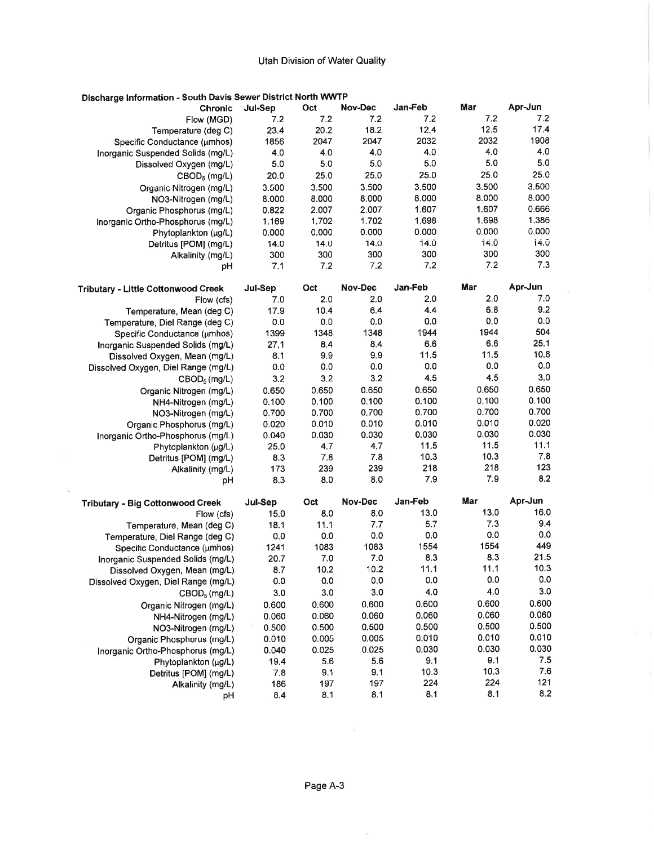| Discharge Information - South Davis Sewer District North WWTP |         |       |         |         |       |         |
|---------------------------------------------------------------|---------|-------|---------|---------|-------|---------|
| <b>Chronic</b>                                                | Jul-Sep | Oct   | Nov-Dec | Jan-Feb | Mar   | Apr-Jun |
| Flow (MGD)                                                    | 7.2     | 7.2   | 7.2     | 7.2     | 7.2   | 7.2     |
| Temperature (deg C)                                           | 23.4    | 20.2  | 18.2    | 12.4    | 12.5  | 17.4    |
| Specific Conductance (umhos)                                  | 1856    | 2047  | 2047    | 2032    | 2032  | 1908    |
| Inorganic Suspended Solids (mg/L)                             | 4.0     | 4.0   | 4.0     | 4.0     | 4.0   | 4.0     |
| Dissolved Oxygen (mg/L)                                       | 5.0     | 5.0   | 5.0     | 5.0     | 5.0   | 5.0     |
| $CBOD5$ (mg/L)                                                | 20.0    | 25.0  | 25.0    | 25.0    | 25.0  | 25.0    |
| Organic Nitrogen (mg/L)                                       | 3.500   | 3.500 | 3.500   | 3,500   | 3.500 | 3.600   |
| NO3-Nitrogen (mg/L)                                           | 8.000   | 8.000 | 8.000   | 8.000   | 8.000 | 8.000   |
| Organic Phosphorus (mg/L)                                     | 0.822   | 2.007 | 2.007   | 1.607   | 1.607 | 0.666   |
| Inorganic Ortho-Phosphorus (mg/L)                             | 1.169   | 1.702 | 1,702   | 1.698   | 1.698 | 1,386   |
| Phytoplankton (µg/L)                                          | 0.000   | 0.000 | 0.000   | 0.000   | 0.000 | 0.000   |
| Detritus [POM] (mg/L)                                         | 14.0    | 14.0  | 14.0    | 14.0    | 14.0  | 14.0    |
| Alkalinity (mg/L)                                             | 300     | 300   | 300     | 300     | 300   | 300     |
| рH                                                            | 7.1     | 7.2   | 7,2     | 7.2     | 7.2   | 7.3     |
| Tributary - Little Cottonwood Creek                           | Jul-Sep | Oct   | Nov-Dec | Jan-Feb | Mar   | Apr-Jun |
| Flow (cfs)                                                    | 7.0     | 2.0   | 2.0     | 2.0     | 2.0   | 7.0     |
| Temperature, Mean (deg C)                                     | 17.9    | 10.4  | 6.4     | 4.4     | 6.8   | 9.2     |
| Temperature, Diel Range (deg C)                               | 0.0     | 0.0   | 0.0     | 0.0     | 0.0   | 0.0     |
| Specific Conductance (umhos)                                  | 1399    | 1348  | 1348    | 1944    | 1944  | 504     |
| Inorganic Suspended Solids (mg/L)                             | 27.1    | 8.4   | 8.4     | 6.6     | 6.6   | 25.1    |
| Dissolved Oxygen, Mean (mg/L)                                 | 8,1     | 9.9   | 9.9     | 11.5    | 11.5  | 10.6    |
| Dissolved Oxygen, Diel Range (mg/L)                           | 0.0     | 0.0   | 0.0     | 0.0     | 0.0   | 0.0     |
| $CBOD_5$ (mg/L)                                               | 3.2     | 3.2   | 3.2     | 4.5     | 4.5   | 3.0     |
| Organic Nitrogen (mg/L)                                       | 0.650   | 0.650 | 0.650   | 0.650   | 0.650 | 0.650   |
| NH4-Nitrogen (mg/L)                                           | 0.100   | 0.100 | 0.100   | 0.100   | 0.100 | 0.100   |
| NO3-Nitrogen (mg/L)                                           | 0.700   | 0.700 | 0.700   | 0.700   | 0.700 | 0.700   |
| Organic Phosphorus (mg/L)                                     | 0.020   | 0.010 | 0.010   | 0.010   | 0.010 | 0.020   |
| Inorganic Ortho-Phosphorus (mg/L)                             | 0.040   | 0.030 | 0.030   | 0.030   | 0.030 | 0.030   |
| Phytoplankton (µg/L)                                          | 25.0    | 4.7   | 4,7     | 11.5    | 11.5  | 11.1    |
| Detritus [POM] (mg/L)                                         | 8.3     | 7.8   | 7.8     | 10.3    | 10.3  | 7.8     |
| Alkalinity (mg/L)                                             | 173     | 239   | 239     | 218     | 218   | 123     |
| pH                                                            | 8.3     | 8.0   | 8.0     | 7.9     | 7.9   | 8.2     |
| <b>Tributary - Big Cottonwood Creek</b>                       | Jul-Sep | Oct   | Nov-Dec | Jan-Feb | Mar   | Apr-Jun |
| Flow (cfs)                                                    | 15.0    | 8.0   | 8.0     | 13.0    | 13.0  | 16.0    |
| Temperature, Mean (deg C)                                     | 18.1    | 11.1  | 7.7     | 5.7     | 7.3   | 9.4     |
| Temperature, Diel Range (deg C)                               | 0.0     | 0.0   | 0.0     | 0.0     | 0.0   | 0.0     |
| Specific Conductance (umhos)                                  | 1241    | 1083  | 1083    | 1554    | 1554  | 449     |
| Inorganic Suspended Solids (mg/L)                             | 20.7    | 7.0   | 7.0     | 8.3     | 8.3   | 21.5    |
| Dissolved Oxygen, Mean (mg/L)                                 | 8.7     | 10.2  | 10.2    | 11.1    | 11.1  | 10.3    |
| Dissolved Oxygen, Diel Range (mg/L)                           | 0.0     | 0.0   | 0.0     | 0.0     | 0.0   | $0.0\,$ |
| $CBOD_5$ (mg/L)                                               | 3.0     | 3.0   | 3.0     | 4.0     | 4.0   | 3.0     |
| Organic Nitrogen (mg/L)                                       | 0.600   | 0.600 | 0.600   | 0.600   | 0.600 | 0.600   |
| NH4-Nitrogen (mg/L)                                           | 0.060   | 0.060 | 0.060   | 0.060   | 0.060 | 0.060   |
| NO3-Nitrogen (mg/L)                                           | 0.500   | 0.500 | 0.500   | 0.500   | 0.500 | 0.500   |
| Organic Phosphorus (mg/L)                                     | 0.010   | 0.005 | 0.005   | 0.010   | 0.010 | 0.010   |
| Inorganic Ortho-Phosphorus (mg/L)                             | 0.040   | 0.025 | 0.025   | 0.030   | 0.030 | 0.030   |
| Phytoplankton (µg/L)                                          | 19.4    | 5.6   | 5.6     | 9.1     | 9.1   | 7.5     |
| Detritus [POM] (mg/L)                                         | 7.8     | 9.1   | 9.1     | 10.3    | 10.3  | 7.6     |
| Alkalinity (mg/L)                                             | 186     | 197   | 197     | 224     | 224   | 121     |
| рH                                                            | 8.4     | 8.1   | 8.1     | 8.1     | 8.1   | 8.2     |

 $\tilde{\alpha}$ 

 $\sim$   $\sim$ 

 $\bar{K}$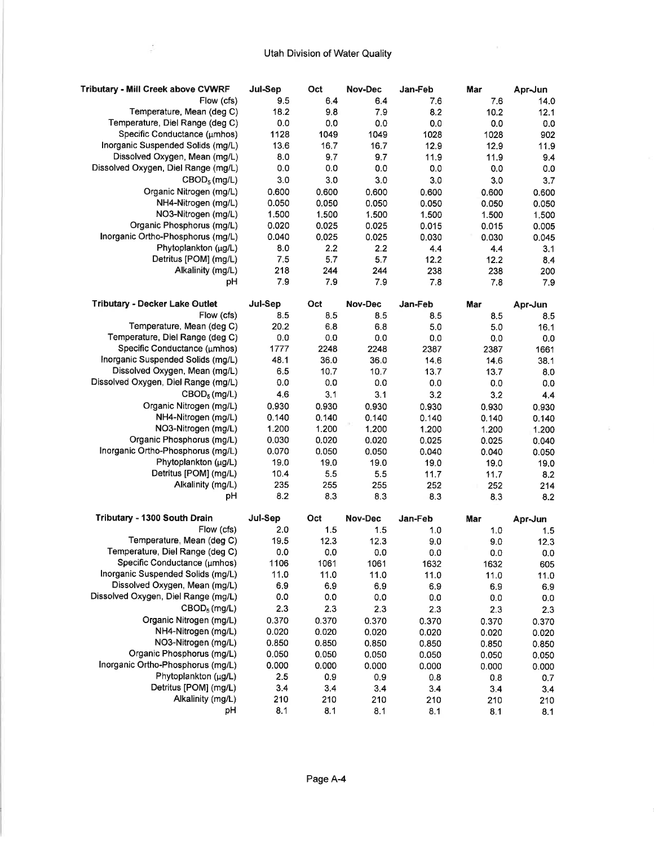$\mathcal{E}$ 

| <b>Tributary - Mill Creek above CVWRF</b>  | Jul-Sep        | Oct        | Nov-Dec        | Jan-Feb        | Mar         | Apr-Jun        |
|--------------------------------------------|----------------|------------|----------------|----------------|-------------|----------------|
| Flow (cfs)                                 | 9.5            | 6.4        | 6.4            | 7.6            | 7.6         | 14.0           |
| Temperature, Mean (deg C)                  | 18.2           | 9.8        | 7.9            | 8.2            | 10.2        | 12.1           |
| Temperature, Diel Range (deg C)            | 0.0            | 0.0        | 0.0            | 0.0            | 0.0         | 0.0            |
| Specific Conductance (µmhos)               | 1128           | 1049       | 1049           | 1028           | 1028        | 902            |
| Inorganic Suspended Solids (mg/L)          | 13.6           | 16,7       | 16.7           | 12.9           | 12.9        | 11.9           |
| Dissolved Oxygen, Mean (mg/L)              | 8.0            | 9.7        | 9.7            | 11.9           | 11.9        | 9.4            |
| Dissolved Oxygen, Diel Range (mg/L)        | 0.0            | 0.0        | 0.0            | 0.0            | 0.0         | 0.0            |
| $CBOD_5$ (mg/L)                            | 3.0            | 3.0        | 3.0            | 3.0            | 3.0         | 3,7            |
| Organic Nitrogen (mg/L)                    | 0.600          | 0.600      | 0.600          | 0.600          | 0.600       | 0.600          |
| NH4-Nitrogen (mg/L)                        | 0.050          | 0.050      | 0.050          | 0.050          | 0.050       | 0.050          |
| NO3-Nitrogen (mg/L)                        | 1.500          | 1.500      | 1.500          | 1.500          | 1.500       | 1.500          |
| Organic Phosphorus (mg/L)                  | 0.020          | 0.025      | 0.025          | 0.015          | 0.015       | 0.005          |
| Inorganic Ortho-Phosphorus (mg/L)          | 0.040          | 0.025      | 0.025          | 0.030          | 0.030       | 0.045          |
| Phytoplankton (µg/L)                       | 8.0            | 2.2        | 2.2            | 4.4            | 4.4         | 3.1            |
| Detritus [POM] (mg/L)                      | 7.5            | 5.7        | 5.7            | 12.2           | 12.2        | 8.4            |
| Alkalinity (mg/L)                          | 218            | 244        | 244            | 238            | 238         | 200            |
| рH                                         | 7.9            | 7.9        | 7.9            | 7.8            | 7.8         | 7.9            |
|                                            |                |            |                |                |             |                |
| <b>Tributary - Decker Lake Outlet</b>      | Jul-Sep        | Oct        | Nov-Dec        | Jan-Feb        | Mar         | Apr-Jun        |
| Flow (cfs)                                 | 8.5            | 8.5        | 8.5            | 8.5            | 8.5         | 8.5            |
| Temperature, Mean (deg C)                  | 20.2           | 6.8        | 6.8            | 5.0            | 5.0         | 16.1           |
| Temperature, Diel Range (deg C)            | 0.0            | 0.0        | 0.0            | 0.0            | 0.0         | 0.0            |
| Specific Conductance (umhos)               | 1777           | 2248       | 2248           | 2387           | 2387        | 1661           |
| Inorganic Suspended Solids (mg/L)          | 48.1           | 36.0       | 36.0           | 14.6           | 14.6        | 38.1           |
| Dissolved Oxygen, Mean (mg/L)              | 6.5            | 10.7       | 10.7           | 13.7           | 13.7        | 8.0            |
| Dissolved Oxygen, Diel Range (mg/L)        | 0.0            | 0.0        | 0.0            | 0.0            | 0.0         | 0.0            |
| CBOD <sub>5</sub> (mg/L)                   | 4.6            | 3.1        | 3.1            | 3.2            | 3.2         | 4.4            |
| Organic Nitrogen (mg/L)                    | 0.930          | 0.930      | 0.930          | 0.930          | 0.930       | 0.930          |
| NH4-Nitrogen (mg/L)                        | 0.140          | 0.140      | 0.140          | 0.140          | 0.140       | 0.140          |
| NO3-Nitrogen (mg/L)                        | 1.200          | 1.200      | 1.200          | 1.200          | 1.200       | 1.200          |
| Organic Phosphorus (mg/L)                  | 0.030          | 0.020      | 0.020          | 0.025          | 0.025       | 0.040          |
| Inorganic Ortho-Phosphorus (mg/L)          | 0.070          | 0.050      | 0.050          | 0.040          | 0.040       | 0.050          |
| Phytoplankton (µg/L)                       | 19.0           | 19,0       | 19.0           | 19.0           | 19.0        | 19.0           |
| Detritus [POM] (mg/L)                      | 10.4           | 5.5        | 5.5            | 11.7           | 11.7        | 8.2            |
| Alkalinity (mg/L)                          | 235            | 255        | 255            | 252            | 252         | 214            |
| рH                                         | 8.2            | 8.3        | 8.3            | 8.3            | 8.3         | 8.2            |
|                                            |                |            |                |                |             |                |
| Tributary - 1300 South Drain<br>Flow (cfs) | Jul-Sep<br>2.0 | Oct<br>1.5 | Nov-Dec<br>1.5 | Jan-Feb<br>1.0 | Mar<br>1.0  | Apr-Jun<br>1.5 |
| Temperature, Mean (deg C)                  | 19.5           | 12.3       | 12.3           | 9.0            | 9.0         | 12.3           |
| Temperature, Diel Range (deg C)            | 0.0            | 0.0        | 0.0            | 0.0            |             |                |
| Specific Conductance (µmhos)               | 1106           | 1061       | 1061           | 1632           | 0.0<br>1632 | 0.0            |
| Inorganic Suspended Solids (mg/L)          | 11.0           | 11.0       | 11.0           |                |             | 605            |
| Dissolved Oxygen, Mean (mg/L)              | 6.9            | 6.9        | 6.9            | 11.0<br>6.9    | 11.0        | 11.0           |
| Dissolved Oxygen, Diel Range (mg/L)        | 0.0            | $0.0\,$    |                |                | 6.9         | 6.9            |
|                                            | 2.3            |            | 0.0            | 0.0            | 0.0         | 0.0            |
| CBOD <sub>5</sub> (mg/L)                   |                | 2.3        | 2.3            | 2.3            | 2.3         | 2.3            |
| Organic Nitrogen (mg/L)                    | 0.370          | 0.370      | 0.370          | 0.370          | 0.370       | 0.370          |
| NH4-Nitrogen (mg/L)                        | 0.020          | 0.020      | 0.020          | 0.020          | 0.020       | 0.020          |
| NO3-Nitrogen (mg/L)                        | 0.850          | 0.850      | 0.850          | 0.850          | 0.850       | 0.850          |
| Organic Phosphorus (mg/L)                  | 0.050          | 0.050      | 0.050          | 0.050          | 0.050       | 0.050          |
| Inorganic Ortho-Phosphorus (mg/L)          | 0.000          | 0.000      | 0.000          | 0.000          | 0.000       | 0.000          |
| Phytoplankton (µg/L)                       | 2.5            | 0.9        | 0.9            | 0.8            | 0.8         | 0.7            |
| Detritus [POM] (mg/L)                      | 3.4            | 3.4        | 3.4            | 3.4            | 3.4         | 3.4            |
| Alkalinity (mg/L)                          | 210            | 210        | 210            | 210            | 210         | 210            |
| pH                                         | 8.1            | 8.1        | 8.1            | 8.1            | 8.1         | 8.1            |

 $\tilde{\mathcal{P}}$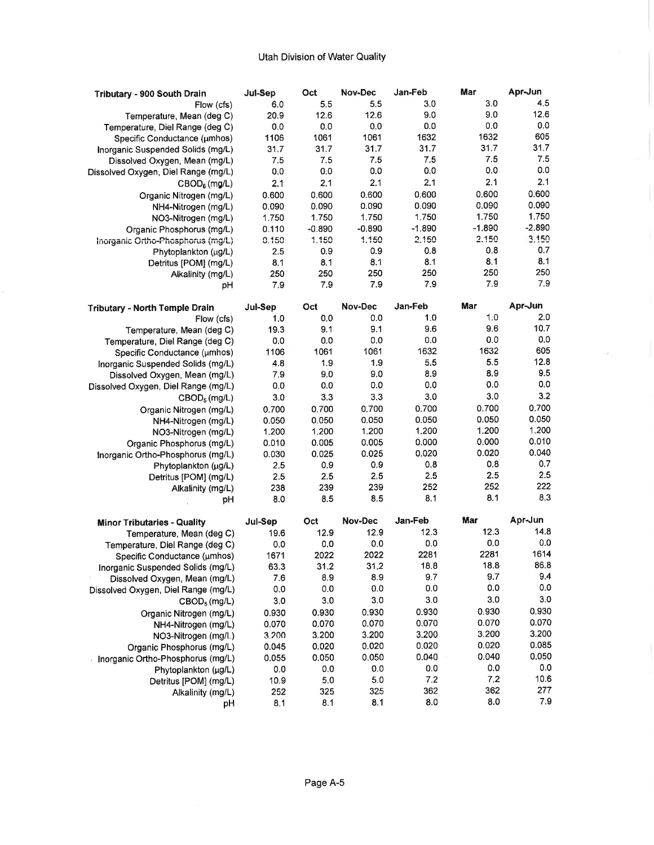| Tributary - 900 South Drain           | Jul-Sep | Oct      | Nov-Dec  | Jan-Feb     | Mar            | Apr-Jun  |
|---------------------------------------|---------|----------|----------|-------------|----------------|----------|
| Flow (cfs)                            | 6.0     | 5.5      | 5.5      | 3.0         | 3.0            | 4.5      |
| Temperature, Mean (deg C)             | 20.9    | 12.6     | 12.6     | 9.0         | 9.0            | 12.6     |
| Temperature, Diel Range (deg C)       | 0.0     | 0.0      | 0.0      | 0.0         | 0.0            | 0.0      |
| Specific Conductance (umhos)          | 1106    | 1061     | 1061     | 1632        | 1632           | 605      |
| Inorganic Suspended Solids (mg/L)     | 31.7    | 31.7     | 31.7     | 31.7        | 31.7           | 31.7     |
| Dissolved Oxygen, Mean (mg/L)         | 7.5     | 7.5      | 7.5      | 7.5         | 7.5            | 7.5      |
| Dissolved Oxygen, Diel Range (mg/L)   | 0.0     | 0.0      | 0.0      | 0.0         | 0.0            | 0.0      |
| CBOD <sub>6</sub> (mg/L)              | 2.1     | 2,1      | 2.1      | 2.1         | 2.1            | 2.1      |
| Organic Nitrogen (mg/L)               | 0.600   | 0.600    | 0.600    | 0.600       | 0.600          | 0.600    |
| NH4-Nitrogen (mg/L)                   | 0.090   | 0.090    | 0.090    | 0.090       | 0.090          | 0.090    |
| NO3-Nitrogen (mg/L)                   | 1.750   | 1.750    | 1.750    | 1.750       | 1.750          | 1.750    |
| Organic Phosphorus (mg/L)             | 0.110   | $-0.890$ | $-0.890$ | $-1.890$    | $-1.890$       | $-2.890$ |
| Inorganic Ortho-Phosphorus (mg/L)     | 0.150   | 1.150    | 1.150    | 2.150       | 2.150          | 3.150    |
| Phytoplankton (µg/L)                  | 2.5     | 0.9      | 0.9      | 0.8         | 0.8            | 0.7      |
| Detritus [POM] (mg/L)                 | 8.1     | 8.1      | 8.1      | 8.1         | 8.1            | 8.1      |
|                                       | 250     | 250      | 250      | 250         | 250            | 250      |
| Alkalinity (mg/L)                     | 7.9     | 7.9      | 7.9      | 7.9         | 7.9            | 7.9      |
| рH                                    |         |          |          |             |                |          |
| <b>Tributary - North Temple Drain</b> | Jul-Sep | Oct      | Nov-Dec  | Jan-Feb     | Mar            | Apr-Jun  |
| Flow (cfs)                            | 1,0     | 0.0      | 0.0      | 1,0         | 1.0            | 2.0      |
| Temperature, Mean (deg C)             | 19.3    | 9.1      | 9.1      | 9.6         | 9.6            | 10.7     |
| Temperature, Diel Range (deg C)       | 0.0     | 0.0      | 0.0      | 0.0         | 0.0            | 0.0      |
|                                       | 1106    | 1061     | 1061     | 1632        | 1632           | 605      |
| Specific Conductance (umhos)          | 4.8     | 1.9      | 1.9      | 5.5         | 5.5            | 12.8     |
| Inorganic Suspended Solids (mg/L)     | 7.9     | 9.0      | 9.0      | 8.9         | 8.9            | 9.5      |
| Dissolved Oxygen, Mean (mg/L)         | 0.0     | 0.0      | 0.0      | 0.0         | 0.0            | 0.0      |
| Dissolved Oxygen, Diel Range (mg/L)   |         | 3.3      | 3.3      | 3.0         | 3.0            | 3.2      |
| CBOD <sub>5</sub> (mg/L)              | 3.0     |          |          |             |                | 0.700    |
| Organic Nitrogen (mg/L)               | 0.700   | 0.700    | 0.700    | 0.700       | 0.700          | 0.050    |
| NH4-Nitrogen (mg/L)                   | 0.050   | 0.050    | 0.050    | 0.050       | 0.050<br>1.200 | 1.200    |
| NO3-Nitrogen (mg/L)                   | 1.200   | 1.200    | 1,200    | 1.200       |                |          |
| Organic Phosphorus (mg/L)             | 0.010   | 0.005    | 0.005    | 0.000       | 0.000          | 0.010    |
| Inorganic Ortho-Phosphorus (mg/L)     | 0.030   | 0.025    | 0.025    | 0.020       | 0.020          | 0.040    |
| Phytoplankton (µg/L)                  | 2.5     | 0.9      | 0.9      | 0.8         | 0.8            | 0.7      |
| Detritus [POM] (mg/L)                 | 2.5     | 2.5      | 2.5      | 2.5         | 2.5            | 2.5      |
| Alkalinity (mg/L)                     | 238     | 239      | 239      | 252         | 252            | 222      |
| рH                                    | 8.0     | 8.5      | 8.5      | 8.1         | 8.1            | 8.3      |
|                                       |         |          | Nov-Dec  | Jan-Feb     | Mar            | Apr-Jun  |
| <b>Minor Tributaries - Quality</b>    | Jul-Sep | Oct      |          |             | 12.3           | 14.8     |
| Temperature, Mean (deg C)             | 19.6    | 12.9     | 12.9     | 12.3        | 0.0            | 0.0      |
| Temperature, Diel Range (deg C)       | 0.0     | 0.0      | 0.0      | 0.0<br>2281 | 2281           | 1614     |
| Specific Conductance (umhos)          | 1671    | 2022     | 2022     |             |                | 86.8     |
| Inorganic Suspended Solids (mg/L)     | 63.3    | 31.2     | 31,2     | 18.8        | 18.8           | 9.4      |
| Dissolved Oxygen, Mean (mg/L)         | 7.6     | 8.9      | 8.9      | 9.7         | 9.7<br>0.0     | $0.0\,$  |
| Dissolved Oxygen, Diel Range (mg/L)   | 0.0     | 0.0      | 0.0      | 0.0         |                |          |
| CBOD <sub>5</sub> (mg/L)              | 3.0     | 3.0      | 3.0      | 3.0         | 3.0            | 3.0      |
| Organic Nitrogen (mg/L)               | 0.930   | 0.930    | 0.930    | 0.930       | 0.930          | 0.930    |
| NH4-Nitrogen (mg/L)                   | 0.070   | 0.070    | 0.070    | 0.070       | 0.070          | 0.070    |
| NO3-Nitrogen (mg/L)                   | 3,200   | 3.200    | 3.200    | 3.200       | 3.200          | 3.200    |
| Organic Phosphorus (mg/L)             | 0.045   | 0.020    | 0.020    | 0.020       | 0.020          | 0.085    |
| Inorganic Ortho-Phosphorus (mg/L)     | 0.055   | 0.050    | 0.050    | 0.040       | 0.040          | 0.050    |
| Phytoplankton (µg/L)                  | 0.0     | 0.0      | 0.0      | 0.0         | 0.0            | 0.0      |
| Detritus [POM] (mg/L)                 | 10.9    | 5.0      | 5.0      | 7.2         | 7.2            | 10.6     |
| Alkalinity (mg/L)                     | 252     | 325      | 325      | 362         | 362            | 277      |
| рH                                    | 8.1     | 8.1      | 8.1      | 8.0         | 8.0            | 7.9      |

 $\sim$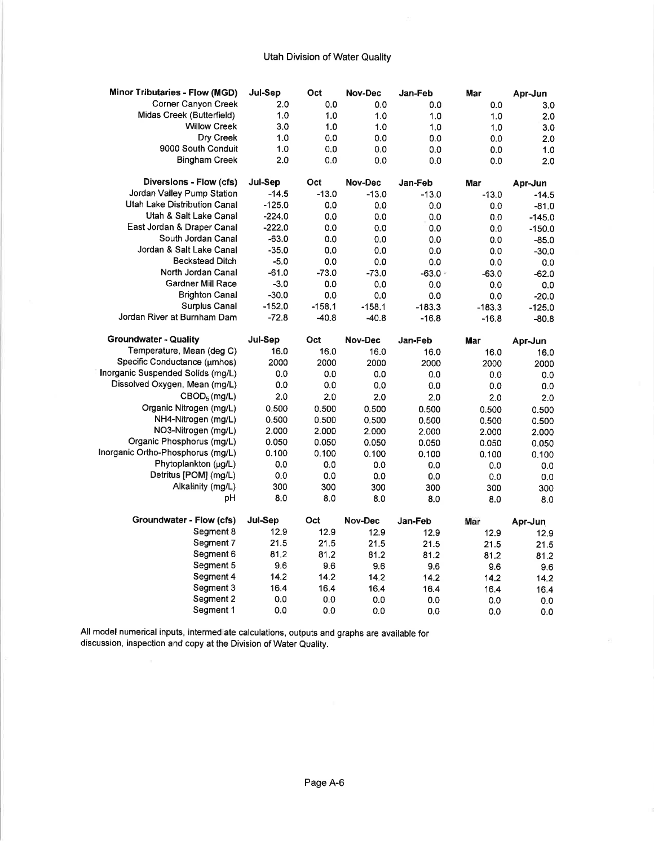| <b>Minor Tributaries - Flow (MGD)</b> | Jul-Sep  | Oct      | Nov-Dec  | Jan-Feb  | Mar      | Apr-Jun     |
|---------------------------------------|----------|----------|----------|----------|----------|-------------|
| Corner Canyon Creek                   | 2.0      | 0.0      | 0.0      | 0.0      | 0.0      | 3.0         |
| Midas Creek (Butterfield)             | 1.0      | 1.0      | 1.0      | 1.0      | 1.0      | 2.0         |
| <b>Willow Creek</b>                   | 3.0      | 1.0      | 1.0      | 1.0      | 1.0      | 3.0         |
| Dry Creek                             | 1.0      | 0.0      | 0.0      | 0.0      | 0.0      | 2.0         |
| 9000 South Conduit                    | 1.0      | 0.0      | 0.0      | 0.0      | 0.0      | 1.0         |
| <b>Bingham Creek</b>                  | 2.0      | 0.0      | 0.0      | 0,0      | 0.0      | 2.0         |
| Diversions - Flow (cfs)               | Jul-Sep  | Oct      | Nov-Dec  | Jan-Feb  | Mar      | Apr-Jun     |
| Jordan Valley Pump Station            | $-14.5$  | $-13.0$  | $-13.0$  | $-13.0$  | $-13.0$  | $-14.5$     |
| Utah Lake Distribution Canal          | $-125.0$ | 0.0      | 0.0      | 0.0      | 0.0      | $-81.0$     |
| Utah & Salt Lake Canal                | $-224.0$ | 0.0      | 0.0      | 0.0      | 0.0      | $-145.0$    |
| East Jordan & Draper Canal            | $-222.0$ | 0.0      | 0.0      | 0.0      | 0.0      | $-150.0$    |
| South Jordan Canal                    | $-63.0$  | 0.0      | 0.0      | 0.0      | 0.0      | $-85.0$     |
| Jordan & Salt Lake Canal              | $-35.0$  | 0.0      | 0.0      | 0.0      | 0.0      | $-30.0$     |
| <b>Beckstead Ditch</b>                | $-5.0$   | 0.0      | 0.0      | 0.0      | 0.0      | 0.0         |
| North Jordan Canal                    | $-61.0$  | $-73.0$  | $-73.0$  | $-63.0$  | $-63.0$  | $-62.0$     |
| <b>Gardner Mill Race</b>              | $-3.0$   | 0.0      | 0.0      | 0.0      | 0.0      | 0.0         |
| <b>Brighton Canal</b>                 | $-30.0$  | 0.0      | 0.0      | 0.0      | 0.0      | $-20.0$     |
| <b>Surplus Canal</b>                  | $-152.0$ | $-158.1$ | $-158.1$ | $-183.3$ | $-183.3$ | $-125.0$    |
| Jordan River at Burnham Dam           | $-72.8$  | $-40.8$  | $-40.8$  | $-16.8$  | $-16.8$  | $-80.8$     |
| <b>Groundwater - Quality</b>          | Jul-Sep  | Oct      | Nov-Dec  | Jan-Feb  | Mar      | Apr-Jun     |
| Temperature, Mean (deg C)             | 16.0     | 16.0     | 16.0     | 16.0     | 16.0     | 16.0        |
| Specific Conductance (µmhos)          | 2000     | 2000     | 2000     | 2000     | 2000     | 2000        |
| Inorganic Suspended Solids (mg/L)     | 0.0      | 0.0      | 0.0      | 0.0      | 0.0      | 0.0         |
| Dissolved Oxygen, Mean (mg/L)         | 0.0      | 0.0      | 0.0      | 0.0      | 0.0      | 0.0         |
| CBOD <sub>5</sub> (mg/L)              | 2.0      | 2.0      | 2.0      | 2.0      | 2.0      | 2.0         |
| Organic Nitrogen (mg/L)               | 0.500    | 0.500    | 0.500    | 0.500    | 0.500    | 0.500       |
| NH4-Nitrogen (mg/L)                   | 0.500    | 0.500    | 0.500    | 0.500    | 0.500    | 0.500       |
| NO3-Nitrogen (mg/L)                   | 2.000    | 2,000    | 2.000    | 2.000    | 2.000    | 2.000       |
| Organic Phosphorus (mg/L)             | 0.050    | 0.050    | 0.050    | 0.050    | 0.050    | 0.050       |
| Inorganic Ortho-Phosphorus (mg/L)     | 0.100    | 0.100    | 0.100    | 0.100    | 0.100    | 0.100       |
| Phytoplankton (µg/L)                  | 0.0      | 0.0      | 0.0      | 0.0      | 0.0      | 0.0         |
| Detritus [POM] (mg/L)                 | 0.0      | 0.0      | 0.0      | 0.0      | 0.0      | 0.0         |
| Alkalinity (mg/L)                     | 300      | 300      | 300      | 300      | 300      | 300         |
| pH                                    | 8.0      | 8.0      | 8.0      | 8.0      | 8.0      | 8.0         |
| Groundwater - Flow (cfs)              | Jul-Sep  | Oct      | Nov-Dec  | Jan-Feb  | Mar      | Apr-Jun     |
| Segment 8                             | 12.9     | 12.9     | 12.9     | 12.9     | 12.9     | 12.9        |
| Segment 7                             | 21.5     | 21.5     | 21.5     | 21.5     | 21.5     | 21.5        |
| Segment 6                             | 81.2     | 81.2     | 81.2     | 81.2     | 81.2     | 81.2        |
| Segment 5                             | 9.6      | 9.6      | 9.6      | 9.6      | 9.6      | 9.6         |
| Segment 4                             | 14.2     | 14.2     | 14.2     | 14.2     | 14.2     | 14.2        |
| Segment 3                             |          |          |          |          |          |             |
|                                       | 16.4     | 16.4     | 16.4     | 16.4     | 16.4     |             |
| Segment 2<br>Segment 1                | 0.0      | 0.0      | 0.0      | 0.0      | 0.0      | 16.4<br>0.0 |

All model numerical inputs, intermediate calculations, outputs and graphs are available for discussion, inspection and copy at the Division of Water Quality.

 $\overline{\phantom{a}}$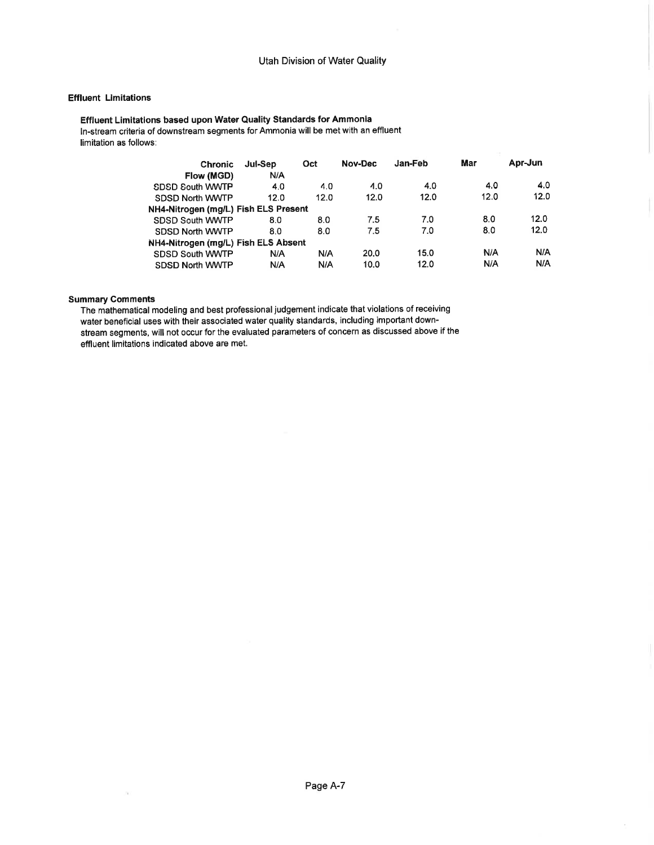### **Effluent Limitations**

#### Effluent Limitations based upon Water Quality Standards for Ammonia ln-stream criteria of downstream segments for Ammonia will be met with an effluent limitation as follows:

| <b>Chronic</b>                       | Jul-Sep | Oct  | Nov-Dec | Jan-Feb | Mar  | Apr-Jun |
|--------------------------------------|---------|------|---------|---------|------|---------|
| Flow (MGD)                           | N/A     |      |         |         |      |         |
| <b>SDSD South WWTP</b>               | 4.0     | 4.0  | 4.0     | 4.0     | 4.0  | 4.0     |
| SDSD North WWTP                      | 12.0    | 12.0 | 12.0    | 12.0    | 12.0 | 12.0    |
| NH4-Nitrogen (mg/L) Fish ELS Present |         |      |         |         |      |         |
| SDSD South WWTP                      | 8.0     | 8.0  | 7.5     | 7.0     | 8.0  | 12.0    |
| SDSD North WWTP                      | 8.0     | 8.0  | 7.5     | 7.0     | 8.0  | 12.0    |
| NH4-Nitrogen (mg/L) Fish ELS Absent  |         |      |         |         |      |         |
| SDSD South WWTP                      | N/A     | N/A  | 20.0    | 15.0    | N/A  | N/A     |
| <b>SDSD North WWTP</b>               | N/A     | N/A  | 10.0    | 12.0    | N/A  | N/A     |
|                                      |         |      |         |         |      |         |

### Summary Comments

Ń.

The mathematical modeling and best professional judgement indicate that violations of receiving water beneficial uses with their associated water quality standards, including important downstream segments, will not occur for the evaluated parameters of concern as discussed above if the effluent limitations indicated above are met.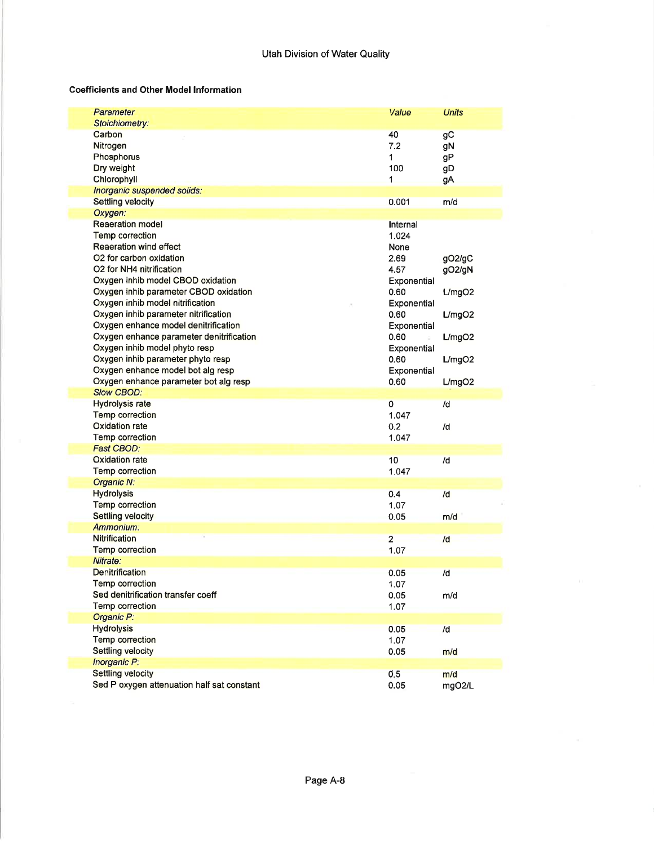## Coefficients and Other Model Information

| Parameter                                                              | Value                  | <b>Units</b>  |
|------------------------------------------------------------------------|------------------------|---------------|
| Stoichiometry:                                                         |                        |               |
| Carbon                                                                 | 40                     | gC            |
| Nitrogen                                                               | 7.2                    | gN            |
| Phosphorus                                                             | 1                      | gP            |
| Dry weight                                                             | 100                    | gD            |
| Chlorophyll                                                            | 1                      | <b>gA</b>     |
| Inorganic suspended solids:                                            |                        |               |
| <b>Settling velocity</b>                                               | 0.001                  | m/d           |
| Oxygen:                                                                |                        |               |
| <b>Reaeration model</b>                                                | Internal               |               |
| Temp correction                                                        | 1.024                  |               |
| <b>Reaeration wind effect</b>                                          | None                   |               |
| O2 for carbon oxidation                                                | 2.69                   | gO2/gC        |
| O2 for NH4 nitrification                                               | 4.57                   | gO2/gN        |
| Oxygen inhib model CBOD oxidation                                      | Exponential            |               |
| Oxygen inhib parameter CBOD oxidation                                  | 0.60                   | L/mgO2        |
| Oxygen inhib model nitrification                                       | Exponential            |               |
| Oxygen inhib parameter nitrification                                   | 0.60                   |               |
| Oxygen enhance model denitrification                                   | Exponential            | L/mgO2        |
| Oxygen enhance parameter denitrification                               | 0.60                   |               |
|                                                                        |                        | L/mgO2        |
| Oxygen inhib model phyto resp                                          | Exponential            |               |
| Oxygen inhib parameter phyto resp                                      | 0.60                   | L/mgO2        |
| Oxygen enhance model bot alg resp                                      | Exponential            |               |
| Oxygen enhance parameter bot alg resp                                  | 0.60                   | L/mgO2        |
|                                                                        |                        |               |
| <b>Slow CBOD:</b>                                                      |                        |               |
| <b>Hydrolysis rate</b>                                                 | 0                      | /d            |
| Temp correction                                                        | 1.047                  |               |
| Oxidation rate                                                         | 0.2                    | /d            |
| Temp correction                                                        | 1.047                  |               |
| Fast CBOD:                                                             |                        |               |
| Oxidation rate                                                         | 10                     | /d            |
| Temp correction                                                        | 1.047                  |               |
| Organic N:                                                             |                        |               |
| <b>Hydrolysis</b>                                                      | 0.4                    | /d            |
| Temp correction                                                        | 1.07                   |               |
| Settling velocity                                                      | 0.05                   | m/d           |
| Ammonium:                                                              |                        |               |
| <b>Nitrification</b>                                                   |                        |               |
|                                                                        | $\overline{2}$<br>1.07 | /d            |
| <b>Temp correction</b><br>Nitrate:                                     |                        |               |
|                                                                        |                        |               |
| <b>Denitrification</b>                                                 | 0.05                   | /d            |
| Temp correction                                                        | 1.07                   |               |
| Sed denitrification transfer coeff                                     | 0.05                   | m/d           |
| <b>Temp correction</b>                                                 | 1.07                   |               |
| Organic P:                                                             |                        |               |
| <b>Hydrolysis</b>                                                      | 0.05                   | /d            |
| Temp correction                                                        | 1.07                   |               |
| Settling velocity                                                      | 0.05                   | m/d           |
| Inorganic P:                                                           |                        |               |
| <b>Settling velocity</b><br>Sed P oxygen attenuation half sat constant | 0.5<br>0.05            | m/d<br>mgO2/L |